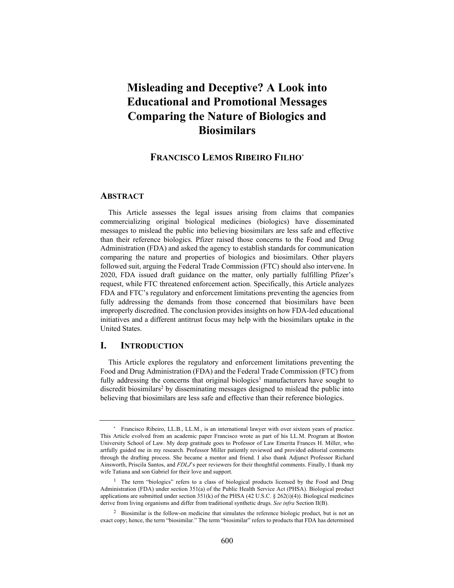# **Misleading and Deceptive? A Look into Educational and Promotional Messages Comparing the Nature of Biologics and Biosimilars**

## **FRANCISCO LEMOS RIBEIRO FILHO\***

### **ABSTRACT**

This Article assesses the legal issues arising from claims that companies commercializing original biological medicines (biologics) have disseminated messages to mislead the public into believing biosimilars are less safe and effective than their reference biologics. Pfizer raised those concerns to the Food and Drug Administration (FDA) and asked the agency to establish standards for communication comparing the nature and properties of biologics and biosimilars. Other players followed suit, arguing the Federal Trade Commission (FTC) should also intervene. In 2020, FDA issued draft guidance on the matter, only partially fulfilling Pfizer's request, while FTC threatened enforcement action. Specifically, this Article analyzes FDA and FTC's regulatory and enforcement limitations preventing the agencies from fully addressing the demands from those concerned that biosimilars have been improperly discredited. The conclusion provides insights on how FDA-led educational initiatives and a different antitrust focus may help with the biosimilars uptake in the United States.

## **I. INTRODUCTION**

This Article explores the regulatory and enforcement limitations preventing the Food and Drug Administration (FDA) and the Federal Trade Commission (FTC) from fully addressing the concerns that original biologics<sup>1</sup> manufacturers have sought to discredit biosimilars<sup>2</sup> by disseminating messages designed to mislead the public into believing that biosimilars are less safe and effective than their reference biologics.

<sup>\*</sup> Francisco Ribeiro, LL.B., LL.M., is an international lawyer with over sixteen years of practice. This Article evolved from an academic paper Francisco wrote as part of his LL.M. Program at Boston University School of Law. My deep gratitude goes to Professor of Law Emerita Frances H. Miller, who artfully guided me in my research. Professor Miller patiently reviewed and provided editorial comments through the drafting process. She became a mentor and friend. I also thank Adjunct Professor Richard Ainsworth, Priscila Santos, and *FDLJ*'s peer reviewers for their thoughtful comments. Finally, I thank my wife Tatiana and son Gabriel for their love and support.

<sup>&</sup>lt;sup>1</sup> The term "biologics" refers to a class of biological products licensed by the Food and Drug Administration (FDA) under section 351(a) of the Public Health Service Act (PHSA). Biological product applications are submitted under section  $351(k)$  of the PHSA (42 U.S.C. § 262(i)(4)). Biological medicines derive from living organisms and differ from traditional synthetic drugs. *See infra* Section II(B).

<sup>&</sup>lt;sup>2</sup> Biosimilar is the follow-on medicine that simulates the reference biologic product, but is not an exact copy; hence, the term "biosimilar." The term "biosimilar" refers to products that FDA has determined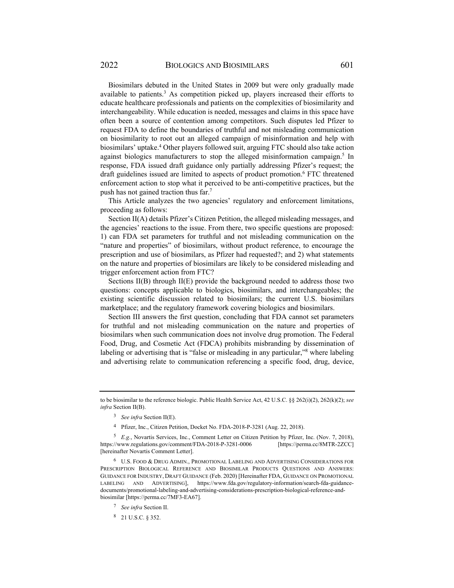Biosimilars debuted in the United States in 2009 but were only gradually made available to patients.<sup>3</sup> As competition picked up, players increased their efforts to educate healthcare professionals and patients on the complexities of biosimilarity and interchangeability. While education is needed, messages and claims in this space have often been a source of contention among competitors. Such disputes led Pfizer to request FDA to define the boundaries of truthful and not misleading communication on biosimilarity to root out an alleged campaign of misinformation and help with biosimilars' uptake.<sup>4</sup> Other players followed suit, arguing FTC should also take action against biologics manufacturers to stop the alleged misinformation campaign.<sup>5</sup> In response, FDA issued draft guidance only partially addressing Pfizer's request; the draft guidelines issued are limited to aspects of product promotion.<sup>6</sup> FTC threatened enforcement action to stop what it perceived to be anti-competitive practices, but the push has not gained traction thus far.7

This Article analyzes the two agencies' regulatory and enforcement limitations, proceeding as follows:

Section II(A) details Pfizer's Citizen Petition, the alleged misleading messages, and the agencies' reactions to the issue. From there, two specific questions are proposed: 1) can FDA set parameters for truthful and not misleading communication on the "nature and properties" of biosimilars, without product reference, to encourage the prescription and use of biosimilars, as Pfizer had requested?; and 2) what statements on the nature and properties of biosimilars are likely to be considered misleading and trigger enforcement action from FTC?

Sections II(B) through II(E) provide the background needed to address those two questions: concepts applicable to biologics, biosimilars, and interchangeables; the existing scientific discussion related to biosimilars; the current U.S. biosimilars marketplace; and the regulatory framework covering biologics and biosimilars.

Section III answers the first question, concluding that FDA cannot set parameters for truthful and not misleading communication on the nature and properties of biosimilars when such communication does not involve drug promotion. The Federal Food, Drug, and Cosmetic Act (FDCA) prohibits misbranding by dissemination of labeling or advertising that is "false or misleading in any particular,"<sup>8</sup> where labeling and advertising relate to communication referencing a specific food, drug, device,

to be biosimilar to the reference biologic. Public Health Service Act, 42 U.S.C. §§ 262(i)(2), 262(k)(2); *see infra* Section II(B).

<sup>3</sup> *See infra* Section II(E).

<sup>4</sup> Pfizer, Inc., Citizen Petition, Docket No. FDA-2018-P-3281 (Aug. 22, 2018).

<sup>5</sup> *E.g.*, Novartis Services, Inc., Comment Letter on Citizen Petition by Pfizer, Inc. (Nov. 7, 2018), https://www.regulations.gov/comment/FDA-2018-P-3281-0006 [https://perma.cc/8MTR-2ZCC] [hereinafter Novartis Comment Letter].

<sup>6</sup> U.S. FOOD & DRUG ADMIN., PROMOTIONAL LABELING AND ADVERTISING CONSIDERATIONS FOR PRESCRIPTION BIOLOGICAL REFERENCE AND BIOSIMILAR PRODUCTS QUESTIONS AND ANSWERS: GUIDANCE FOR INDUSTRY, DRAFT GUIDANCE (Feb. 2020) [Hereinafter FDA, GUIDANCE ON PROMOTIONAL LABELING AND ADVERTISING], https://www.fda.gov/regulatory-information/search-fda-guidancedocuments/promotional-labeling-and-advertising-considerations-prescription-biological-reference-andbiosimilar [https://perma.cc/7MF3-EA67].

<sup>7</sup> *See infra* Section II.

<sup>8 21</sup> U.S.C. § 352.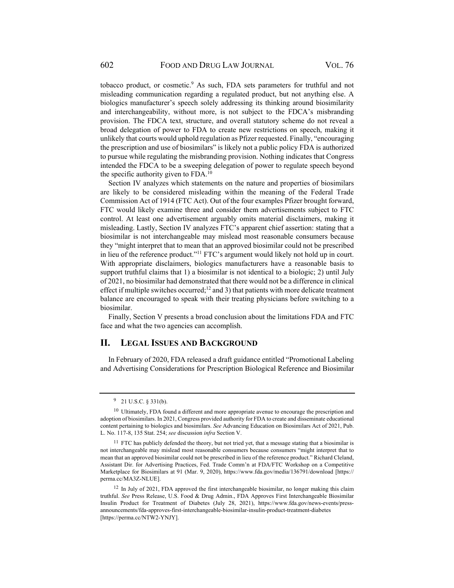tobacco product, or cosmetic.<sup>9</sup> As such, FDA sets parameters for truthful and not misleading communication regarding a regulated product, but not anything else. A biologics manufacturer's speech solely addressing its thinking around biosimilarity and interchangeability, without more, is not subject to the FDCA's misbranding provision. The FDCA text, structure, and overall statutory scheme do not reveal a broad delegation of power to FDA to create new restrictions on speech, making it unlikely that courts would uphold regulation as Pfizer requested. Finally, "encouraging the prescription and use of biosimilars" is likely not a public policy FDA is authorized to pursue while regulating the misbranding provision. Nothing indicates that Congress intended the FDCA to be a sweeping delegation of power to regulate speech beyond the specific authority given to FDA.<sup>10</sup>

Section IV analyzes which statements on the nature and properties of biosimilars are likely to be considered misleading within the meaning of the Federal Trade Commission Act of 1914 (FTC Act). Out of the four examples Pfizer brought forward, FTC would likely examine three and consider them advertisements subject to FTC control. At least one advertisement arguably omits material disclaimers, making it misleading. Lastly, Section IV analyzes FTC's apparent chief assertion: stating that a biosimilar is not interchangeable may mislead most reasonable consumers because they "might interpret that to mean that an approved biosimilar could not be prescribed in lieu of the reference product."11 FTC's argument would likely not hold up in court. With appropriate disclaimers, biologics manufacturers have a reasonable basis to support truthful claims that 1) a biosimilar is not identical to a biologic; 2) until July of 2021, no biosimilar had demonstrated that there would not be a difference in clinical effect if multiple switches occurred;<sup>12</sup> and 3) that patients with more delicate treatment balance are encouraged to speak with their treating physicians before switching to a biosimilar.

Finally, Section V presents a broad conclusion about the limitations FDA and FTC face and what the two agencies can accomplish.

## **II. LEGAL ISSUES AND BACKGROUND**

In February of 2020, FDA released a draft guidance entitled "Promotional Labeling and Advertising Considerations for Prescription Biological Reference and Biosimilar

<sup>9 21</sup> U.S.C. § 331(b).

<sup>&</sup>lt;sup>10</sup> Ultimately, FDA found a different and more appropriate avenue to encourage the prescription and adoption of biosimilars. In 2021, Congress provided authority for FDA to create and disseminate educational content pertaining to biologics and biosimilars. *See* Advancing Education on Biosimilars Act of 2021, Pub. L. No. 117-8, 135 Stat. 254; *see* discussion *infra* Section V.

 $11$  FTC has publicly defended the theory, but not tried yet, that a message stating that a biosimilar is not interchangeable may mislead most reasonable consumers because consumers "might interpret that to mean that an approved biosimilar could not be prescribed in lieu of the reference product." Richard Cleland, Assistant Dir. for Advertising Practices, Fed. Trade Comm'n at FDA/FTC Workshop on a Competitive Marketplace for Biosimilars at 91 (Mar. 9, 2020), https://www.fda.gov/media/136791/download [https:// perma.cc/MA3Z-NLUE].

<sup>12</sup> In July of 2021, FDA approved the first interchangeable biosimilar, no longer making this claim truthful. *See* Press Release, U.S. Food & Drug Admin., FDA Approves First Interchangeable Biosimilar Insulin Product for Treatment of Diabetes (July 28, 2021), https://www.fda.gov/news-events/pressannouncements/fda-approves-first-interchangeable-biosimilar-insulin-product-treatment-diabetes [https://perma.cc/NTW2-YNJY].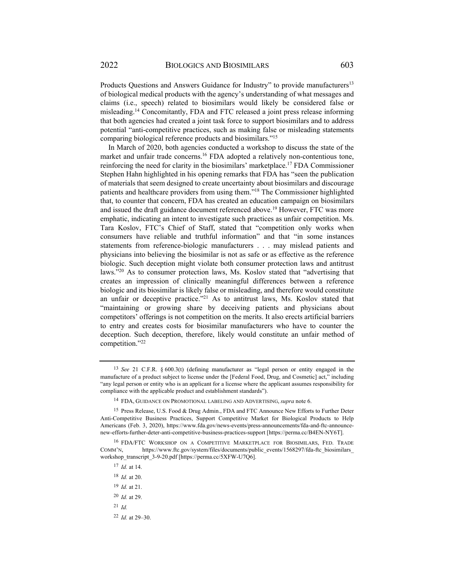2022 BIOLOGICS AND BIOSIMILARS 603

Products Questions and Answers Guidance for Industry" to provide manufacturers<sup>13</sup> of biological medical products with the agency's understanding of what messages and claims (i.e., speech) related to biosimilars would likely be considered false or misleading.14 Concomitantly, FDA and FTC released a joint press release informing that both agencies had created a joint task force to support biosimilars and to address potential "anti-competitive practices, such as making false or misleading statements comparing biological reference products and biosimilars."15

In March of 2020, both agencies conducted a workshop to discuss the state of the market and unfair trade concerns.16 FDA adopted a relatively non-contentious tone, reinforcing the need for clarity in the biosimilars' marketplace.17 FDA Commissioner Stephen Hahn highlighted in his opening remarks that FDA has "seen the publication of materials that seem designed to create uncertainty about biosimilars and discourage patients and healthcare providers from using them."18 The Commissioner highlighted that, to counter that concern, FDA has created an education campaign on biosimilars and issued the draft guidance document referenced above.19 However, FTC was more emphatic, indicating an intent to investigate such practices as unfair competition. Ms. Tara Koslov, FTC's Chief of Staff, stated that "competition only works when consumers have reliable and truthful information" and that "in some instances statements from reference-biologic manufacturers . . . may mislead patients and physicians into believing the biosimilar is not as safe or as effective as the reference biologic. Such deception might violate both consumer protection laws and antitrust laws."20 As to consumer protection laws, Ms. Koslov stated that "advertising that creates an impression of clinically meaningful differences between a reference biologic and its biosimilar is likely false or misleading, and therefore would constitute an unfair or deceptive practice."<sup>21</sup> As to antitrust laws, Ms. Koslov stated that "maintaining or growing share by deceiving patients and physicians about competitors' offerings is not competition on the merits. It also erects artificial barriers to entry and creates costs for biosimilar manufacturers who have to counter the deception. Such deception, therefore, likely would constitute an unfair method of competition."22

<sup>13</sup> *See* 21 C.F.R. § 600.3(t) (defining manufacturer as "legal person or entity engaged in the manufacture of a product subject to license under the [Federal Food, Drug, and Cosmetic] act," including "any legal person or entity who is an applicant for a license where the applicant assumes responsibility for compliance with the applicable product and establishment standards").

<sup>14</sup> FDA, GUIDANCE ON PROMOTIONAL LABELING AND ADVERTISING, *supra* note 6.

<sup>&</sup>lt;sup>15</sup> Press Release, U.S. Food & Drug Admin., FDA and FTC Announce New Efforts to Further Deter Anti-Competitive Business Practices, Support Competitive Market for Biological Products to Help Americans (Feb. 3, 2020), https://www.fda.gov/news-events/press-announcements/fda-and-ftc-announcenew-efforts-further-deter-anti-competitive-business-practices-support [https://perma.cc/B4EN-NY6T].

<sup>16</sup> FDA/FTC WORKSHOP ON A COMPETITIVE MARKETPLACE FOR BIOSIMILARS, FED. TRADE COMM'N, https://www.ftc.gov/system/files/documents/public\_events/1568297/fda-ftc\_biosimilars workshop\_transcript\_3-9-20.pdf [https://perma.cc/5XFW-U7Q6].

<sup>17</sup> *Id.* at 14.

<sup>18</sup> *Id.* at 20.

<sup>19</sup> *Id.* at 21.

<sup>20</sup> *Id.* at 29.

<sup>21</sup> *Id.*

<sup>22</sup> *Id.* at 29–30.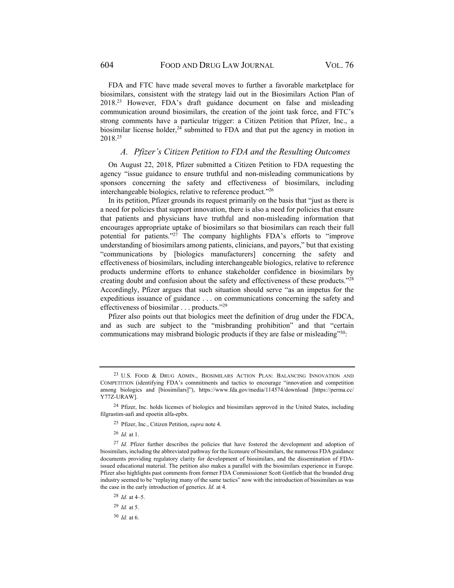FDA and FTC have made several moves to further a favorable marketplace for biosimilars, consistent with the strategy laid out in the Biosimilars Action Plan of 2018.23 However, FDA's draft guidance document on false and misleading communication around biosimilars, the creation of the joint task force, and FTC's strong comments have a particular trigger: a Citizen Petition that Pfizer, Inc., a biosimilar license holder, $^{24}$  submitted to FDA and that put the agency in motion in 2018.25

## *A. Pfizer's Citizen Petition to FDA and the Resulting Outcomes*

On August 22, 2018, Pfizer submitted a Citizen Petition to FDA requesting the agency "issue guidance to ensure truthful and non-misleading communications by sponsors concerning the safety and effectiveness of biosimilars, including interchangeable biologics, relative to reference product."26

In its petition, Pfizer grounds its request primarily on the basis that "just as there is a need for policies that support innovation, there is also a need for policies that ensure that patients and physicians have truthful and non-misleading information that encourages appropriate uptake of biosimilars so that biosimilars can reach their full potential for patients."27 The company highlights FDA's efforts to "improve understanding of biosimilars among patients, clinicians, and payors," but that existing "communications by [biologics manufacturers] concerning the safety and effectiveness of biosimilars, including interchangeable biologics, relative to reference products undermine efforts to enhance stakeholder confidence in biosimilars by creating doubt and confusion about the safety and effectiveness of these products."28 Accordingly, Pfizer argues that such situation should serve "as an impetus for the expeditious issuance of guidance . . . on communications concerning the safety and effectiveness of biosimilar . . . products."29

Pfizer also points out that biologics meet the definition of drug under the FDCA, and as such are subject to the "misbranding prohibition" and that "certain communications may misbrand biologic products if they are false or misleading"<sup>30</sup>:

<sup>29</sup> *Id.* at 5.

<sup>30</sup> *Id.* at 6.

<sup>23</sup> U.S. FOOD & DRUG ADMIN., BIOSIMILARS ACTION PLAN: BALANCING INNOVATION AND COMPETITION (identifying FDA's commitments and tactics to encourage "innovation and competition among biologics and [biosimilars]"), https://www.fda.gov/media/114574/download [https://perma.cc/ Y77Z-URAW].

<sup>&</sup>lt;sup>24</sup> Pfizer, Inc. holds licenses of biologics and biosimilars approved in the United States, including filgrastim-aafi and epoetin alfa-epbx.

<sup>25</sup> Pfizer, Inc., Citizen Petition, *supra* note 4.

<sup>26</sup> *Id.* at 1.

<sup>27</sup> *Id.* Pfizer further describes the policies that have fostered the development and adoption of biosimilars, including the abbreviated pathway for the licensure of biosimilars, the numerous FDA guidance documents providing regulatory clarity for development of biosimilars, and the dissemination of FDAissued educational material. The petition also makes a parallel with the biosimilars experience in Europe. Pfizer also highlights past comments from former FDA Commissioner Scott Gottlieb that the branded drug industry seemed to be "replaying many of the same tactics" now with the introduction of biosimilars as was the case in the early introduction of generics. *Id.* at 4.

<sup>28</sup> *Id.* at 4–5.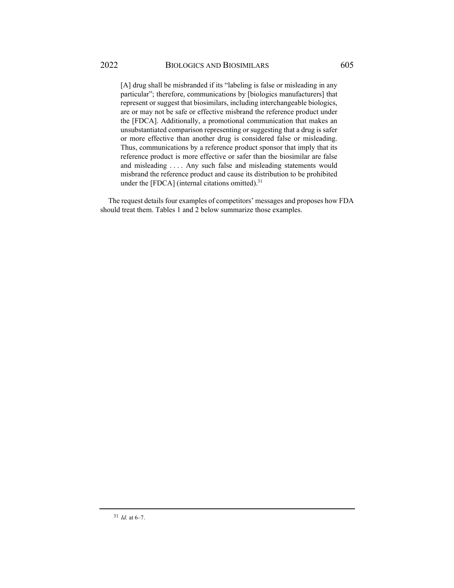[A] drug shall be misbranded if its "labeling is false or misleading in any particular"; therefore, communications by [biologics manufacturers] that represent or suggest that biosimilars, including interchangeable biologics, are or may not be safe or effective misbrand the reference product under the [FDCA]. Additionally, a promotional communication that makes an unsubstantiated comparison representing or suggesting that a drug is safer or more effective than another drug is considered false or misleading. Thus, communications by a reference product sponsor that imply that its reference product is more effective or safer than the biosimilar are false and misleading . . . . Any such false and misleading statements would misbrand the reference product and cause its distribution to be prohibited under the [FDCA] (internal citations omitted). $31$ 

The request details four examples of competitors' messages and proposes how FDA should treat them. Tables 1 and 2 below summarize those examples.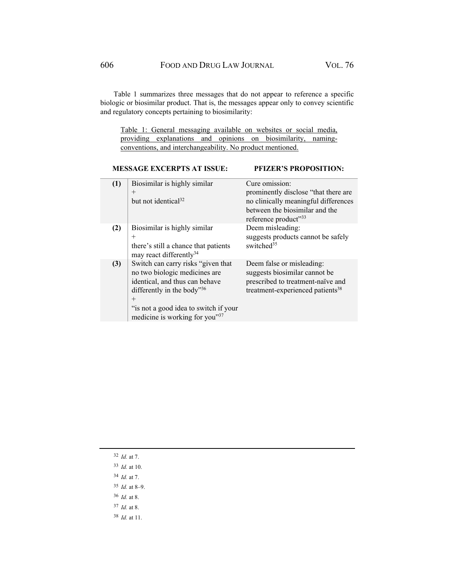Table 1 summarizes three messages that do not appear to reference a specific biologic or biosimilar product. That is, the messages appear only to convey scientific and regulatory concepts pertaining to biosimilarity:

Table 1: General messaging available on websites or social media, providing explanations and opinions on biosimilarity, namingconventions, and interchangeability. No product mentioned.

## **MESSAGE EXCERPTS AT ISSUE: PFIZER'S PROPOSITION:**

| (1) | Biosimilar is highly similar<br>$^{+}$<br>but not identical <sup>32</sup>                                                                                                                                                | Cure omission:<br>prominently disclose "that there are<br>no clinically meaningful differences<br>between the biosimilar and the<br>reference product"33 |
|-----|--------------------------------------------------------------------------------------------------------------------------------------------------------------------------------------------------------------------------|----------------------------------------------------------------------------------------------------------------------------------------------------------|
| (2) | Biosimilar is highly similar<br>$^{+}$<br>there's still a chance that patients<br>may react differently <sup>34</sup>                                                                                                    | Deem misleading:<br>suggests products cannot be safely<br>switched <sup>35</sup>                                                                         |
| (3) | Switch can carry risks "given that<br>no two biologic medicines are<br>identical, and thus can behave<br>differently in the body"36<br>$^{+}$<br>"is not a good idea to switch if your<br>medicine is working for you"37 | Deem false or misleading:<br>suggests biosimilar cannot be<br>prescribed to treatment-naïve and<br>treatment-experienced patients <sup>38</sup>          |

- <sup>32</sup> *Id.* at 7.
- <sup>33</sup> *Id.* at 10.
- <sup>34</sup> *Id.* at 7.
- <sup>35</sup> *Id.* at 8–9.
- <sup>36</sup> *Id.* at 8.
- <sup>37</sup> *Id.* at 8.
- <sup>38</sup> *Id.* at 11.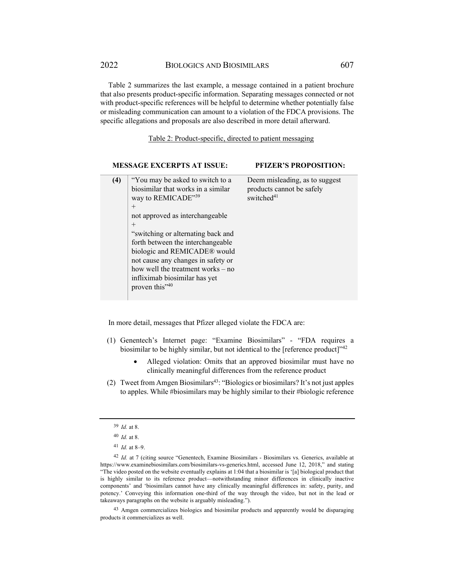2022 BIOLOGICS AND BIOSIMILARS 607

Table 2 summarizes the last example, a message contained in a patient brochure that also presents product-specific information. Separating messages connected or not with product-specific references will be helpful to determine whether potentially false or misleading communication can amount to a violation of the FDCA provisions. The specific allegations and proposals are also described in more detail afterward.

Table 2: Product-specific, directed to patient messaging

|     | <b>MESSAGE EXCERPTS AT ISSUE:</b>                                                                                                                                                                                                                                                                                                                                                                          | <b>PFIZER'S PROPOSITION:</b>                                                          |
|-----|------------------------------------------------------------------------------------------------------------------------------------------------------------------------------------------------------------------------------------------------------------------------------------------------------------------------------------------------------------------------------------------------------------|---------------------------------------------------------------------------------------|
| (4) | "You may be asked to switch to a<br>biosimilar that works in a similar<br>way to REMICADE"39<br>$^{+}$<br>not approved as interchangeable<br>$^{+}$<br>"switching or alternating back and<br>forth between the interchangeable<br>biologic and REMICADE® would<br>not cause any changes in safety or<br>how well the treatment works $-$ no<br>infliximab biosimilar has yet<br>proven this" <sup>40</sup> | Deem misleading, as to suggest<br>products cannot be safely<br>switched <sup>41</sup> |

In more detail, messages that Pfizer alleged violate the FDCA are:

- (1) Genentech's Internet page: "Examine Biosimilars" "FDA requires a biosimilar to be highly similar, but not identical to the [reference product] $^{342}$ 
	- Alleged violation: Omits that an approved biosimilar must have no clinically meaningful differences from the reference product
- (2) Tweet from Amgen Biosimilars<sup>43</sup>: "Biologics or biosimilars? It's not just apples to apples. While #biosimilars may be highly similar to their #biologic reference

43 Amgen commercializes biologics and biosimilar products and apparently would be disparaging products it commercializes as well.

<sup>39</sup> *Id.* at 8.

<sup>40</sup> *Id.* at 8.

<sup>41</sup> *Id.* at 8–9.

<sup>42</sup> *Id.* at 7 (citing source "Genentech, Examine Biosimilars - Biosimilars vs. Generics, available at https://www.examinebiosimilars.com/biosimilars-vs-generics.html, accessed June 12, 2018," and stating "The video posted on the website eventually explains at 1:04 that a biosimilar is '[a] biological product that is highly similar to its reference product—notwithstanding minor differences in clinically inactive components' and 'biosimilars cannot have any clinically meaningful differences in: safety, purity, and potency.' Conveying this information one-third of the way through the video, but not in the lead or takeaways paragraphs on the website is arguably misleading.").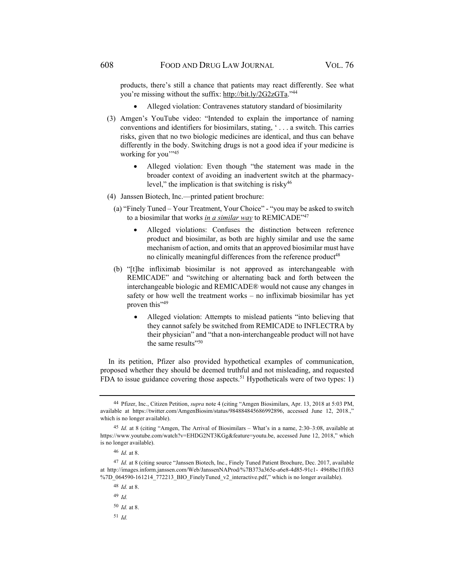products, there's still a chance that patients may react differently. See what you're missing without the suffix: http://bit.ly/2G2zGTa."44

- Alleged violation: Contravenes statutory standard of biosimilarity
- (3) Amgen's YouTube video: "Intended to explain the importance of naming conventions and identifiers for biosimilars, stating, ' . . . a switch. This carries risks, given that no two biologic medicines are identical, and thus can behave differently in the body. Switching drugs is not a good idea if your medicine is working for you"<sup>35</sup>
	- Alleged violation: Even though "the statement was made in the broader context of avoiding an inadvertent switch at the pharmacylevel," the implication is that switching is risky $46$
- (4) Janssen Biotech, Inc.—printed patient brochure:
	- (a) "Finely Tuned Your Treatment, Your Choice" "you may be asked to switch to a biosimilar that works *in a similar way* to REMICADE"47
		- Alleged violations: Confuses the distinction between reference product and biosimilar, as both are highly similar and use the same mechanism of action, and omits that an approved biosimilar must have no clinically meaningful differences from the reference product<sup>48</sup>
	- (b) "[t]he infliximab biosimilar is not approved as interchangeable with REMICADE" and "switching or alternating back and forth between the interchangeable biologic and REMICADE® would not cause any changes in safety or how well the treatment works – no infliximab biosimilar has yet proven this"<sup>49</sup>
		- Alleged violation: Attempts to mislead patients "into believing that they cannot safely be switched from REMICADE to INFLECTRA by their physician" and "that a non-interchangeable product will not have the same results"<sup>50</sup>

In its petition, Pfizer also provided hypothetical examples of communication, proposed whether they should be deemed truthful and not misleading, and requested FDA to issue guidance covering those aspects.<sup>51</sup> Hypotheticals were of two types: 1)

<sup>49</sup> *Id.*

<sup>44</sup> Pfizer, Inc., Citizen Petition, *supra* note 4 (citing "Amgen Biosimilars, Apr. 13, 2018 at 5:03 PM, available at https://twitter.com/AmgenBiosim/status/984884845686992896, accessed June 12, 2018.," which is no longer available).

<sup>45</sup> *Id.* at 8 (citing "Amgen, The Arrival of Biosimilars – What's in a name, 2:30–3:08, available at https://www.youtube.com/watch?v=EHDG2NT3KGg&feature=youtu.be, accessed June 12, 2018," which is no longer available).

<sup>46</sup> *Id.* at 8.

<sup>47</sup> *Id.* at 8 (citing source "Janssen Biotech, Inc., Finely Tuned Patient Brochure, Dec. 2017, available at http://images.inform.janssen.com/Web/JanssenNAProd/%7B373a365e-a6e8-4d85-91c1- 4968bc1f1f63 %7D\_064590-161214\_772213\_BIO\_FinelyTuned\_v2\_interactive.pdf," which is no longer available).

<sup>48</sup> *Id.* at 8.

<sup>50</sup> *Id.* at 8.

<sup>51</sup> *Id.*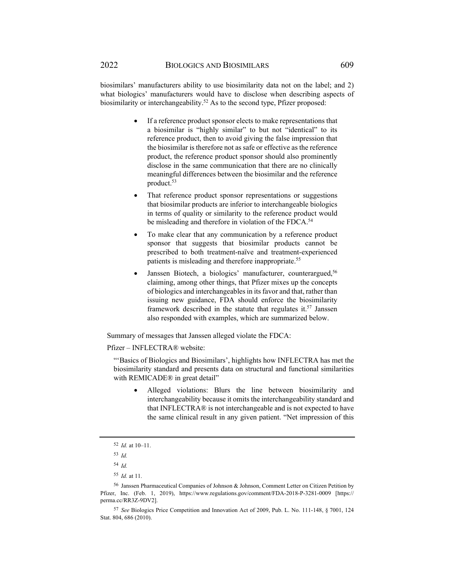biosimilars' manufacturers ability to use biosimilarity data not on the label; and 2) what biologics' manufacturers would have to disclose when describing aspects of biosimilarity or interchangeability.<sup>52</sup> As to the second type, Pfizer proposed:

- If a reference product sponsor elects to make representations that a biosimilar is "highly similar" to but not "identical" to its reference product, then to avoid giving the false impression that the biosimilar is therefore not as safe or effective as the reference product, the reference product sponsor should also prominently disclose in the same communication that there are no clinically meaningful differences between the biosimilar and the reference product.<sup>53</sup>
- That reference product sponsor representations or suggestions that biosimilar products are inferior to interchangeable biologics in terms of quality or similarity to the reference product would be misleading and therefore in violation of the FDCA.<sup>54</sup>
- To make clear that any communication by a reference product sponsor that suggests that biosimilar products cannot be prescribed to both treatment-naïve and treatment-experienced patients is misleading and therefore inappropriate.<sup>55</sup>
- Janssen Biotech, a biologics' manufacturer, counterargued,<sup>56</sup> claiming, among other things, that Pfizer mixes up the concepts of biologics and interchangeables in its favor and that, rather than issuing new guidance, FDA should enforce the biosimilarity framework described in the statute that regulates it.<sup>57</sup> Janssen also responded with examples, which are summarized below.

Summary of messages that Janssen alleged violate the FDCA:

Pfizer – INFLECTRA® website:

"'Basics of Biologics and Biosimilars', highlights how INFLECTRA has met the biosimilarity standard and presents data on structural and functional similarities with REMICADE® in great detail"

 Alleged violations: Blurs the line between biosimilarity and interchangeability because it omits the interchangeability standard and that INFLECTRA® is not interchangeable and is not expected to have the same clinical result in any given patient. "Net impression of this

<sup>54</sup> *Id.*

<sup>52</sup> *Id.* at 10–11.

<sup>53</sup> *Id.*

<sup>55</sup> *Id.* at 11.

<sup>56</sup> Janssen Pharmaceutical Companies of Johnson & Johnson, Comment Letter on Citizen Petition by Pfizer, Inc. (Feb. 1, 2019), https://www.regulations.gov/comment/FDA-2018-P-3281-0009 [https:// perma.cc/RR3Z-9DV2].

<sup>57</sup> *See* Biologics Price Competition and Innovation Act of 2009, Pub. L. No. 111-148, § 7001, 124 Stat. 804, 686 (2010).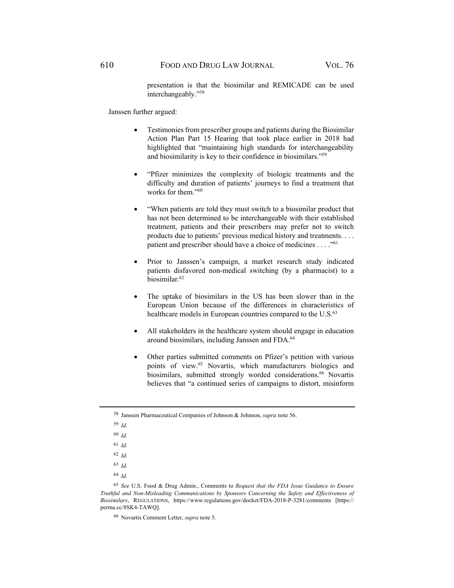presentation is that the biosimilar and REMICADE can be used interchangeably."58

Janssen further argued:

- Testimonies from prescriber groups and patients during the Biosimilar Action Plan Part 15 Hearing that took place earlier in 2018 had highlighted that "maintaining high standards for interchangeability and biosimilarity is key to their confidence in biosimilars."59
- "Pfizer minimizes the complexity of biologic treatments and the difficulty and duration of patients' journeys to find a treatment that works for them."<sup>60</sup>
- "When patients are told they must switch to a biosimilar product that has not been determined to be interchangeable with their established treatment, patients and their prescribers may prefer not to switch products due to patients' previous medical history and treatments. . . . patient and prescriber should have a choice of medicines . . . . "<sup>61</sup>
- Prior to Janssen's campaign, a market research study indicated patients disfavored non-medical switching (by a pharmacist) to a biosimilar.62
- The uptake of biosimilars in the US has been slower than in the European Union because of the differences in characteristics of healthcare models in European countries compared to the U.S.<sup>63</sup>
- All stakeholders in the healthcare system should engage in education around biosimilars, including Janssen and FDA.64
- Other parties submitted comments on Pfizer's petition with various points of view.65 Novartis, which manufacturers biologics and biosimilars, submitted strongly worded considerations.<sup>66</sup> Novartis believes that "a continued series of campaigns to distort, misinform

<sup>58</sup> Janssen Pharmaceutical Companies of Johnson & Johnson, *supra* note 56.

<sup>59</sup> *Id.*

<sup>60</sup> *Id.*

<sup>61</sup> *Id.*

<sup>62</sup> *Id.* 

<sup>63</sup> *Id.*

<sup>64</sup> *Id.*

<sup>65</sup> *See* U.S. Food & Drug Admin., Comments to *Request that the FDA Issue Guidance to Ensure Truthful and Non-Misleading Communications by Sponsors Concerning the Safety and Effectiveness of Biosimilars*, REGULATIONS, https://www.regulations.gov/docket/FDA-2018-P-3281/comments [https:// perma.cc/8SK4-TAWQ].

<sup>66</sup> Novartis Comment Letter, *supra* note 5.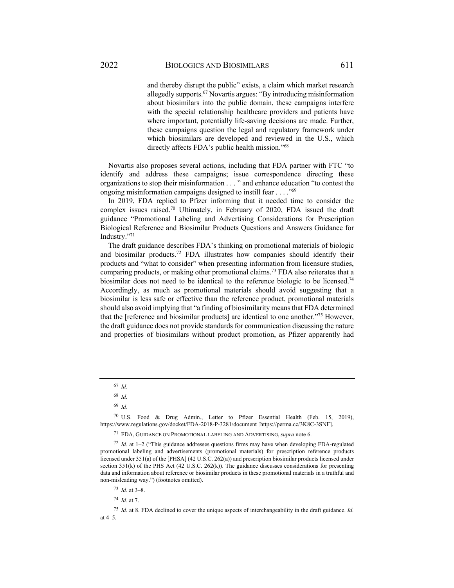and thereby disrupt the public" exists, a claim which market research allegedly supports.67 Novartis argues: "By introducing misinformation about biosimilars into the public domain, these campaigns interfere with the special relationship healthcare providers and patients have where important, potentially life-saving decisions are made. Further, these campaigns question the legal and regulatory framework under which biosimilars are developed and reviewed in the U.S., which directly affects FDA's public health mission."68

Novartis also proposes several actions, including that FDA partner with FTC "to identify and address these campaigns; issue correspondence directing these organizations to stop their misinformation . . . " and enhance education "to contest the ongoing misinformation campaigns designed to instill fear . . . ."69

In 2019, FDA replied to Pfizer informing that it needed time to consider the complex issues raised.70 Ultimately, in February of 2020, FDA issued the draft guidance "Promotional Labeling and Advertising Considerations for Prescription Biological Reference and Biosimilar Products Questions and Answers Guidance for Industry."71

The draft guidance describes FDA's thinking on promotional materials of biologic and biosimilar products.<sup>72</sup> FDA illustrates how companies should identify their products and "what to consider" when presenting information from licensure studies, comparing products, or making other promotional claims.<sup>73</sup> FDA also reiterates that a biosimilar does not need to be identical to the reference biologic to be licensed.74 Accordingly, as much as promotional materials should avoid suggesting that a biosimilar is less safe or effective than the reference product, promotional materials should also avoid implying that "a finding of biosimilarity means that FDA determined that the [reference and biosimilar products] are identical to one another."75 However, the draft guidance does not provide standards for communication discussing the nature and properties of biosimilars without product promotion, as Pfizer apparently had

<sup>67</sup> *Id.*

<sup>68</sup> *Id.* 

<sup>69</sup> *Id.* 

<sup>70</sup> U.S. Food & Drug Admin., Letter to Pfizer Essential Health (Feb. 15, 2019), https://www.regulations.gov/docket/FDA-2018-P-3281/document [https://perma.cc/3K8C-3SNF].

<sup>71</sup> FDA, GUIDANCE ON PROMOTIONAL LABELING AND ADVERTISING, *supra* note 6.

<sup>72</sup> *Id.* at 1–2 ("This guidance addresses questions firms may have when developing FDA-regulated promotional labeling and advertisements (promotional materials) for prescription reference products licensed under 351(a) of the [PHSA] (42 U.S.C. 262(a)) and prescription biosimilar products licensed under section 351(k) of the PHS Act (42 U.S.C. 262(k)). The guidance discusses considerations for presenting data and information about reference or biosimilar products in these promotional materials in a truthful and non-misleading way.") (footnotes omitted).

<sup>73</sup> *Id.* at 3–8.

<sup>74</sup> *Id.* at 7.

<sup>75</sup> *Id.* at 8. FDA declined to cover the unique aspects of interchangeability in the draft guidance. *Id.* at 4–5.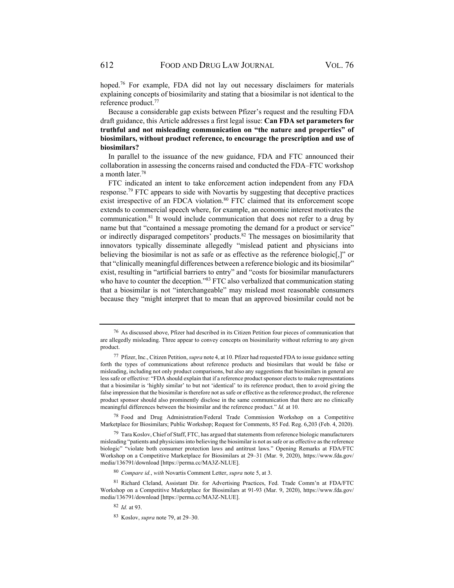hoped.<sup>76</sup> For example, FDA did not lay out necessary disclaimers for materials explaining concepts of biosimilarity and stating that a biosimilar is not identical to the reference product.77

Because a considerable gap exists between Pfizer's request and the resulting FDA draft guidance, this Article addresses a first legal issue: **Can FDA set parameters for truthful and not misleading communication on "the nature and properties" of biosimilars, without product reference, to encourage the prescription and use of biosimilars?**

In parallel to the issuance of the new guidance, FDA and FTC announced their collaboration in assessing the concerns raised and conducted the FDA–FTC workshop a month later.78

FTC indicated an intent to take enforcement action independent from any FDA response.79 FTC appears to side with Novartis by suggesting that deceptive practices exist irrespective of an FDCA violation.<sup>80</sup> FTC claimed that its enforcement scope extends to commercial speech where, for example, an economic interest motivates the communication.81 It would include communication that does not refer to a drug by name but that "contained a message promoting the demand for a product or service" or indirectly disparaged competitors' products.82 The messages on biosimilarity that innovators typically disseminate allegedly "mislead patient and physicians into believing the biosimilar is not as safe or as effective as the reference biologic[,]" or that "clinically meaningful differences between a reference biologic and its biosimilar" exist, resulting in "artificial barriers to entry" and "costs for biosimilar manufacturers who have to counter the deception."<sup>83</sup> FTC also verbalized that communication stating that a biosimilar is not "interchangeable" may mislead most reasonable consumers because they "might interpret that to mean that an approved biosimilar could not be

<sup>76</sup> As discussed above, Pfizer had described in its Citizen Petition four pieces of communication that are allegedly misleading. Three appear to convey concepts on biosimilarity without referring to any given product.

<sup>77</sup> Pfizer, Inc., Citizen Petition, *supra* note 4, at 10. Pfizer had requested FDA to issue guidance setting forth the types of communications about reference products and biosimilars that would be false or misleading, including not only product comparisons, but also any suggestions that biosimilars in general are less safe or effective: "FDA should explain that if a reference product sponsor elects to make representations that a biosimilar is 'highly similar' to but not 'identical' to its reference product, then to avoid giving the false impression that the biosimilar is therefore not as safe or effective as the reference product, the reference product sponsor should also prominently disclose in the same communication that there are no clinically meaningful differences between the biosimilar and the reference product." *Id.* at 10.

<sup>78</sup> Food and Drug Administration/Federal Trade Commission Workshop on a Competitive Marketplace for Biosimilars; Public Workshop; Request for Comments, 85 Fed. Reg. 6,203 (Feb. 4, 2020).

<sup>&</sup>lt;sup>79</sup> Tara Koslov, Chief of Staff, FTC, has argued that statements from reference biologic manufacturers misleading "patients and physicians into believing the biosimilar is not as safe or as effective as the reference biologic" "violate both consumer protection laws and antitrust laws." Opening Remarks at FDA/FTC Workshop on a Competitive Marketplace for Biosimilars at 29–31 (Mar. 9, 2020), https://www.fda.gov/ media/136791/download [https://perma.cc/MA3Z-NLUE].

<sup>80</sup> *Compare id.*, *with* Novartis Comment Letter, *supra* note 5, at 3.

<sup>81</sup> Richard Cleland, Assistant Dir. for Advertising Practices, Fed. Trade Comm'n at FDA/FTC Workshop on a Competitive Marketplace for Biosimilars at 91-93 (Mar. 9, 2020), https://www.fda.gov/ media/136791/download [https://perma.cc/MA3Z-NLUE].

<sup>82</sup> *Id.* at 93.

<sup>83</sup> Koslov, *supra* note 79, at 29–30.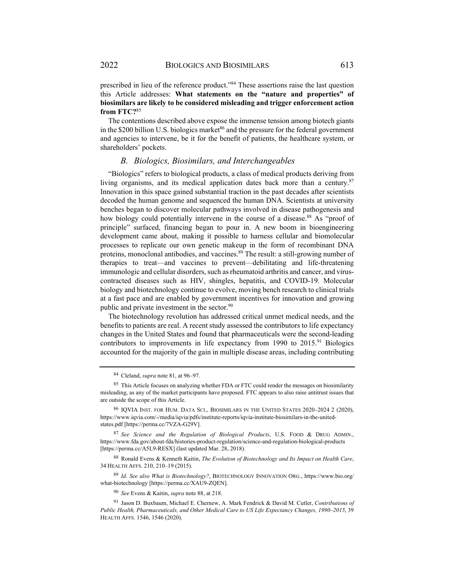prescribed in lieu of the reference product."84 These assertions raise the last question this Article addresses: **What statements on the "nature and properties" of biosimilars are likely to be considered misleading and trigger enforcement action from FTC?**<sup>85</sup>

The contentions described above expose the immense tension among biotech giants in the \$200 billion U.S. biologics market<sup>86</sup> and the pressure for the federal government and agencies to intervene, be it for the benefit of patients, the healthcare system, or shareholders' pockets.

#### *B. Biologics, Biosimilars, and Interchangeables*

"Biologics" refers to biological products, a class of medical products deriving from living organisms, and its medical application dates back more than a century.<sup>87</sup> Innovation in this space gained substantial traction in the past decades after scientists decoded the human genome and sequenced the human DNA. Scientists at university benches began to discover molecular pathways involved in disease pathogenesis and how biology could potentially intervene in the course of a disease.<sup>88</sup> As "proof of principle" surfaced, financing began to pour in. A new boom in bioengineering development came about, making it possible to harness cellular and biomolecular processes to replicate our own genetic makeup in the form of recombinant DNA proteins, monoclonal antibodies, and vaccines.<sup>89</sup> The result: a still-growing number of therapies to treat—and vaccines to prevent—debilitating and life-threatening immunologic and cellular disorders, such as rheumatoid arthritis and cancer, and viruscontracted diseases such as HIV, shingles, hepatitis, and COVID-19. Molecular biology and biotechnology continue to evolve, moving bench research to clinical trials at a fast pace and are enabled by government incentives for innovation and growing public and private investment in the sector.<sup>90</sup>

The biotechnology revolution has addressed critical unmet medical needs, and the benefits to patients are real. A recent study assessed the contributors to life expectancy changes in the United States and found that pharmaceuticals were the second-leading contributors to improvements in life expectancy from 1990 to 2015.<sup>91</sup> Biologics accounted for the majority of the gain in multiple disease areas, including contributing

<sup>87</sup> *See Science and the Regulation of Biological Products*, U.S. FOOD & DRUG ADMIN., https://www.fda.gov/about-fda/histories-product-regulation/science-and-regulation-biological-products [https://perma.cc/A5L9-RESX] (last updated Mar. 28, 2018).

88 Ronald Evens & Kenneth Kaitin, *The Evolution of Biotechnology and Its Impact on Health Care*, 34 HEALTH AFFS. 210, 210–19 (2015).

<sup>89</sup> *Id. See also What is Biotechnology?*, BIOTECHNOLOGY INNOVATION ORG., https://www.bio.org/ what-biotechnology [https://perma.cc/XAU9-ZQEN].

<sup>90</sup> *See* Evens & Kaitin, *supra* note 88, at 218.

91 Jason D. Buxbaum, Michael E. Chernew, A. Mark Fendrick & David M. Cutler, *Contributions of Public Health, Pharmaceuticals, and Other Medical Care to US Life Expectancy Changes, 1990–2015*, 39 HEALTH AFFS. 1546, 1546 (2020).

<sup>84</sup> Cleland, *supra* note 81, at 96–97.

<sup>&</sup>lt;sup>85</sup> This Article focuses on analyzing whether FDA or FTC could render the messages on biosimilarity misleading, as any of the market participants have proposed. FTC appears to also raise antitrust issues that are outside the scope of this Article.

<sup>86</sup> IQVIA INST. FOR HUM. DATA SCI., BIOSIMILARS IN THE UNITED STATES 2020–2024 2 (2020), https://www.iqvia.com/-/media/iqvia/pdfs/institute-reports/iqvia-institute-biosimilars-in-the-unitedstates.pdf [https://perma.cc/7VZA-G29V].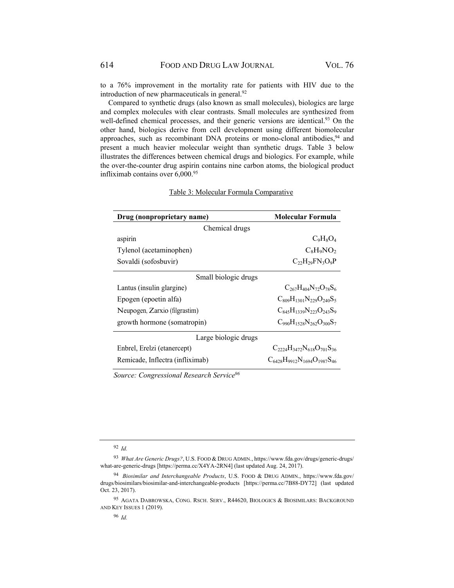to a 76% improvement in the mortality rate for patients with HIV due to the introduction of new pharmaceuticals in general.<sup>92</sup>

Compared to synthetic drugs (also known as small molecules), biologics are large and complex molecules with clear contrasts. Small molecules are synthesized from well-defined chemical processes, and their generic versions are identical.<sup>93</sup> On the other hand, biologics derive from cell development using different biomolecular approaches, such as recombinant DNA proteins or mono-clonal antibodies, $94$  and present a much heavier molecular weight than synthetic drugs. Table 3 below illustrates the differences between chemical drugs and biologics. For example, while the over-the-counter drug aspirin contains nine carbon atoms, the biological product infliximab contains over  $6,000.^{95}$ 

| Drug (nonproprietary name)       | Molecular Formula                        |  |  |
|----------------------------------|------------------------------------------|--|--|
| Chemical drugs                   |                                          |  |  |
| aspirin                          | $C_9H_8O_4$                              |  |  |
| Tylenol (acetaminophen)          | $C_8H_9NO_2$                             |  |  |
| Sovaldi (sofosbuvir)             | $C_{22}H_{29}FN_3O_9P$                   |  |  |
| Small biologic drugs             |                                          |  |  |
| Lantus (insulin glargine)        | $C_{267}H_{404}N_{72}O_{78}S_6$          |  |  |
| Epogen (epoetin alfa)            | $C_{809}H_{1301}N_{229}O_{240}S_5$       |  |  |
| Neupogen, Zarxio (filgrastim)    | $C_{845}H_{1339}N_{223}O_{243}S_9$       |  |  |
| growth hormone (somatropin)      | $C990H1528N262O300S7$                    |  |  |
| Large biologic drugs             |                                          |  |  |
| Enbrel, Erelzi (etanercept)      | $C_{2224}H_{3472}N_{618}O_{701}S_{36}$   |  |  |
| Remicade, Inflectra (infliximab) | $C_{6428}H_{9912}N_{1694}O_{1987}S_{46}$ |  |  |

### Table 3: Molecular Formula Comparative

*Source: Congressional Research Service96*

<sup>92</sup> *Id.*

<sup>93</sup> *What Are Generic Drugs?*, U.S. FOOD & DRUG ADMIN., https://www.fda.gov/drugs/generic-drugs/ what-are-generic-drugs [https://perma.cc/X4YA-2RN4] (last updated Aug. 24, 2017).

<sup>94</sup> *Biosimilar and Interchangeable Products*, U.S. FOOD & DRUG ADMIN., https://www.fda.gov/ drugs/biosimilars/biosimilar-and-interchangeable-products [https://perma.cc/7B88-DY72] (last updated Oct. 23, 2017).

<sup>95</sup> AGATA DABROWSKA, CONG. RSCH. SERV., R44620, BIOLOGICS & BIOSIMILARS: BACKGROUND AND KEY ISSUES 1 (2019).

<sup>96</sup> *Id.*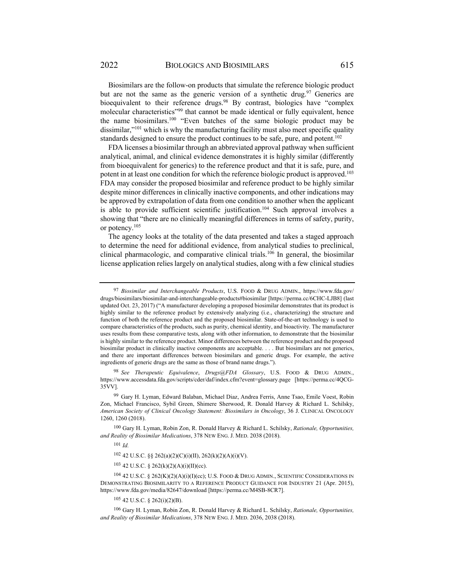Biosimilars are the follow-on products that simulate the reference biologic product but are not the same as the generic version of a synthetic drug.<sup>97</sup> Generics are bioequivalent to their reference drugs.<sup>98</sup> By contrast, biologics have "complex molecular characteristics"<sup>99</sup> that cannot be made identical or fully equivalent, hence the name biosimilars.100 "Even batches of the same biologic product may be dissimilar," $101$  which is why the manufacturing facility must also meet specific quality standards designed to ensure the product continues to be safe, pure, and potent.<sup>102</sup>

FDA licenses a biosimilar through an abbreviated approval pathway when sufficient analytical, animal, and clinical evidence demonstrates it is highly similar (differently from bioequivalent for generics) to the reference product and that it is safe, pure, and potent in at least one condition for which the reference biologic product is approved.103 FDA may consider the proposed biosimilar and reference product to be highly similar despite minor differences in clinically inactive components, and other indications may be approved by extrapolation of data from one condition to another when the applicant is able to provide sufficient scientific justification.<sup>104</sup> Such approval involves a showing that "there are no clinically meaningful differences in terms of safety, purity, or potency.105

The agency looks at the totality of the data presented and takes a staged approach to determine the need for additional evidence, from analytical studies to preclinical, clinical pharmacologic, and comparative clinical trials.106 In general, the biosimilar license application relies largely on analytical studies, along with a few clinical studies

<sup>98</sup> *See Therapeutic Equivalence*, *Drugs@FDA Glossary*, U.S. FOOD & DRUG ADMIN., https://www.accessdata.fda.gov/scripts/cder/daf/index.cfm?event=glossary.page [https://perma.cc/4QCG-35VV].

<sup>101</sup> *Id.*

 $105$  42 U.S.C. § 262(i)(2)(B).

<sup>97</sup> *Biosimilar and Interchangeable Products*, U.S. FOOD & DRUG ADMIN., https://www.fda.gov/ drugs/biosimilars/biosimilar-and-interchangeable-products#biosimilar [https://perma.cc/6CHC-LJB8] (last updated Oct. 23, 2017) ("A manufacturer developing a proposed biosimilar demonstrates that its product is highly similar to the reference product by extensively analyzing (i.e., characterizing) the structure and function of both the reference product and the proposed biosimilar. State-of-the-art technology is used to compare characteristics of the products, such as purity, chemical identity, and bioactivity. The manufacturer uses results from these comparative tests, along with other information, to demonstrate that the biosimilar is highly similar to the reference product. Minor differences between the reference product and the proposed biosimilar product in clinically inactive components are acceptable. . . . But biosimilars are not generics, and there are important differences between biosimilars and generic drugs. For example, the active ingredients of generic drugs are the same as those of brand name drugs.").

<sup>99</sup> Gary H. Lyman, Edward Balaban, Michael Diaz, Andrea Ferris, Anne Tsao, Emile Voest, Robin Zon, Michael Francisco, Sybil Green, Shimere Sherwood, R. Donald Harvey & Richard L. Schilsky, *American Society of Clinical Oncology Statement: Biosimilars in Oncology*, 36 J. CLINICAL ONCOLOGY 1260, 1260 (2018).

<sup>100</sup> Gary H. Lyman, Robin Zon, R. Donald Harvey & Richard L. Schilsky, *Rationale, Opportunities, and Reality of Biosimilar Medications*, 378 NEW ENG. J. MED. 2038 (2018).

<sup>102 42</sup> U.S.C. §§ 262(a)(2)(C)(i)(II), 262(k)(2)(A)(i)(V).

<sup>103 42</sup> U.S.C. § 262(k)(2)(A)(i)(II)(cc).

 $104$  42 U.S.C. § 262(K)(2)(A)(i)(I)(cc); U.S. FOOD & DRUG ADMIN., SCIENTIFIC CONSIDERATIONS IN DEMONSTRATING BIOSIMILARITY TO A REFERENCE PRODUCT GUIDANCE FOR INDUSTRY 21 (Apr. 2015), https://www.fda.gov/media/82647/download [https://perma.cc/M4SB-8CR7].

<sup>106</sup> Gary H. Lyman, Robin Zon, R. Donald Harvey & Richard L. Schilsky, *Rationale, Opportunities, and Reality of Biosimilar Medications*, 378 NEW ENG. J. MED. 2036, 2038 (2018).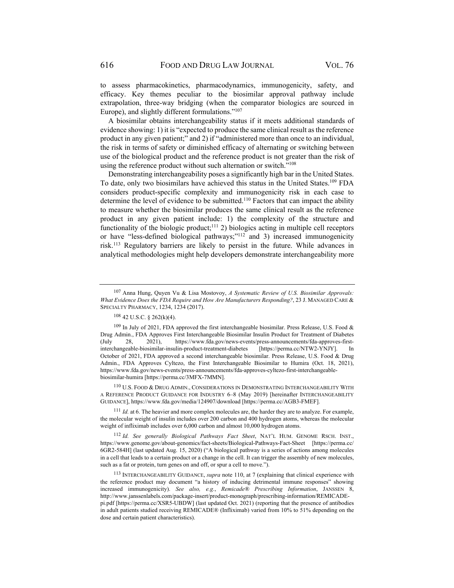to assess pharmacokinetics, pharmacodynamics, immunogenicity, safety, and efficacy. Key themes peculiar to the biosimilar approval pathway include extrapolation, three-way bridging (when the comparator biologics are sourced in Europe), and slightly different formulations."<sup>107</sup>

A biosimilar obtains interchangeability status if it meets additional standards of evidence showing: 1) it is "expected to produce the same clinical result as the reference product in any given patient;" and 2) if "administered more than once to an individual, the risk in terms of safety or diminished efficacy of alternating or switching between use of the biological product and the reference product is not greater than the risk of using the reference product without such alternation or switch."108

Demonstrating interchangeability poses a significantly high bar in the United States. To date, only two biosimilars have achieved this status in the United States.109 FDA considers product-specific complexity and immunogenicity risk in each case to determine the level of evidence to be submitted.<sup>110</sup> Factors that can impact the ability to measure whether the biosimilar produces the same clinical result as the reference product in any given patient include: 1) the complexity of the structure and functionality of the biologic product; $111$  2) biologics acting in multiple cell receptors or have "less-defined biological pathways;"112 and 3) increased immunogenicity risk.113 Regulatory barriers are likely to persist in the future. While advances in analytical methodologies might help developers demonstrate interchangeability more

<sup>110</sup> U.S. FOOD & DRUG ADMIN., CONSIDERATIONS IN DEMONSTRATING INTERCHANGEABILITY WITH A REFERENCE PRODUCT GUIDANCE FOR INDUSTRY 6–8 (May 2019) [hereinafter INTERCHANGEABILITY GUIDANCE], https://www.fda.gov/media/124907/download [https://perma.cc/AGB3-FMEF].

<sup>111</sup> *Id.* at 6. The heavier and more complex molecules are, the harder they are to analyze. For example, the molecular weight of insulin includes over 200 carbon and 400 hydrogen atoms, whereas the molecular weight of infliximab includes over 6,000 carbon and almost 10,000 hydrogen atoms.

<sup>112</sup> *Id. See generally Biological Pathways Fact Sheet*, NAT'L HUM. GENOME RSCH. INST., https://www.genome.gov/about-genomics/fact-sheets/Biological-Pathways-Fact-Sheet [https://perma.cc/ 6GR2-584H] (last updated Aug. 15, 2020) ("A biological pathway is a series of actions among molecules in a cell that leads to a certain product or a change in the cell. It can trigger the assembly of new molecules, such as a fat or protein, turn genes on and off, or spur a cell to move.").

<sup>113</sup> INTERCHANGEABILITY GUIDANCE, *supra* note 110, at 7 (explaining that clinical experience with the reference product may document "a history of inducing detrimental immune responses" showing increased immunogenicity). *See also, e.g.*, *Remicade® Prescribing Information*, JANSSEN 8, http://www.janssenlabels.com/package-insert/product-monograph/prescribing-information/REMICADEpi.pdf [https://perma.cc/XSR5-UBDW] (last updated Oct. 2021) (reporting that the presence of antibodies in adult patients studied receiving REMICADE® (Infliximab) varied from 10% to 51% depending on the dose and certain patient characteristics).

<sup>107</sup> Anna Hung, Quyen Vu & Lisa Mostovoy, *A Systematic Review of U.S. Biosimilar Approvals: What Evidence Does the FDA Require and How Are Manufacturers Responding?*, 23 J. MANAGED CARE & SPECIALTY PHARMACY, 1234, 1234 (2017).

 $108$  42 U.S.C. § 262(k)(4).

 $109$  In July of 2021, FDA approved the first interchangeable biosimilar. Press Release, U.S. Food & Drug Admin., FDA Approves First Interchangeable Biosimilar Insulin Product for Treatment of Diabetes (July 28, 2021), https://www.fda.gov/news-events/press-announcements/fda-approves-firstinterchangeable-biosimilar-insulin-product-treatment-diabetes [https://perma.cc/NTW2-YNJY]. In October of 2021, FDA approved a second interchangeable biosimilar. Press Release, U.S. Food & Drug Admin., FDA Approves Cyltezo, the First Interchangeable Biosimilar to Humira (Oct. 18, 2021), https://www.fda.gov/news-events/press-announcements/fda-approves-cyltezo-first-interchangeablebiosimilar-humira [https://perma.cc/3MFX-7MMN].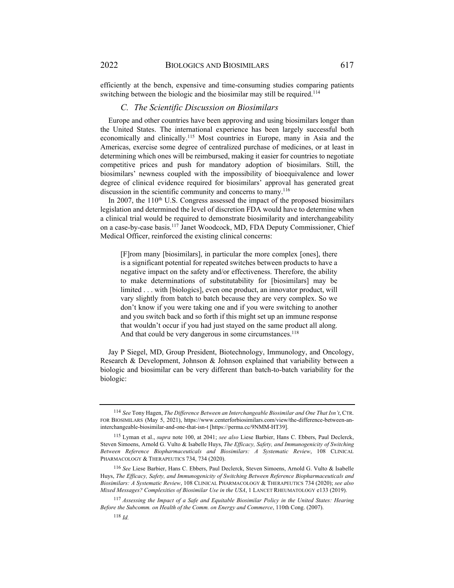efficiently at the bench, expensive and time-consuming studies comparing patients switching between the biologic and the biosimilar may still be required.<sup>114</sup>

#### *C. The Scientific Discussion on Biosimilars*

Europe and other countries have been approving and using biosimilars longer than the United States. The international experience has been largely successful both economically and clinically.115 Most countries in Europe, many in Asia and the Americas, exercise some degree of centralized purchase of medicines, or at least in determining which ones will be reimbursed, making it easier for countries to negotiate competitive prices and push for mandatory adoption of biosimilars. Still, the biosimilars' newness coupled with the impossibility of bioequivalence and lower degree of clinical evidence required for biosimilars' approval has generated great discussion in the scientific community and concerns to many.<sup>116</sup>

In 2007, the 110<sup>th</sup> U.S. Congress assessed the impact of the proposed biosimilars legislation and determined the level of discretion FDA would have to determine when a clinical trial would be required to demonstrate biosimilarity and interchangeability on a case-by-case basis.117 Janet Woodcock, MD, FDA Deputy Commissioner, Chief Medical Officer, reinforced the existing clinical concerns:

[F]rom many [biosimilars], in particular the more complex [ones], there is a significant potential for repeated switches between products to have a negative impact on the safety and/or effectiveness. Therefore, the ability to make determinations of substitutability for [biosimilars] may be limited . . . with [biologics], even one product, an innovator product, will vary slightly from batch to batch because they are very complex. So we don't know if you were taking one and if you were switching to another and you switch back and so forth if this might set up an immune response that wouldn't occur if you had just stayed on the same product all along. And that could be very dangerous in some circumstances.<sup>118</sup>

Jay P Siegel, MD, Group President, Biotechnology, Immunology, and Oncology, Research & Development, Johnson & Johnson explained that variability between a biologic and biosimilar can be very different than batch-to-batch variability for the biologic:

<sup>114</sup> *See* Tony Hagen, *The Difference Between an Interchangeable Biosimilar and One That Isn't*, CTR. FOR BIOSIMILARS (May 5, 2021), https://www.centerforbiosimilars.com/view/the-difference-between-aninterchangeable-biosimilar-and-one-that-isn-t [https://perma.cc/9NMM-HT39].

<sup>115</sup> Lyman et al., *supra* note 100, at 2041; *see also* Liese Barbier, Hans C. Ebbers, Paul Declerck, Steven Simoens, Arnold G. Vulto & Isabelle Huys, *The Efficacy, Safety, and Immunogenicity of Switching Between Reference Biopharmaceuticals and Biosimilars: A Systematic Review*, 108 CLINICAL PHARMACOLOGY & THERAPEUTICS 734, 734 (2020).

<sup>116</sup> *See* Liese Barbier, Hans C. Ebbers, Paul Declerck, Steven Simoens, Arnold G. Vulto & Isabelle Huys, *The Efficacy, Safety, and Immunogenicity of Switching Between Reference Biopharmaceuticals and Biosimilars: A Systematic Review*, 108 CLINICAL PHARMACOLOGY & THERAPEUTICS 734 (2020); *see also Mixed Messages? Complexities of Biosimilar Use in the USA*, 1 LANCET RHEUMATOLOGY e133 (2019).

<sup>117</sup> *Assessing the Impact of a Safe and Equitable Biosimilar Policy in the United States: Hearing Before the Subcomm. on Health of the Comm. on Energy and Commerce*, 110th Cong. (2007).

<sup>118</sup> *Id.*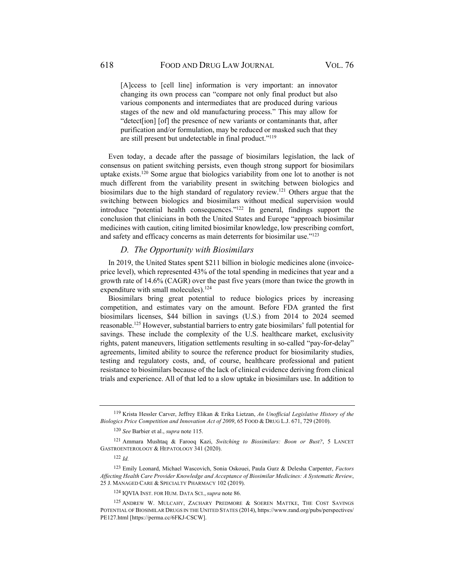[A]ccess to [cell line] information is very important: an innovator changing its own process can "compare not only final product but also various components and intermediates that are produced during various stages of the new and old manufacturing process." This may allow for "detect[ion] [of] the presence of new variants or contaminants that, after purification and/or formulation, may be reduced or masked such that they are still present but undetectable in final product."<sup>119</sup>

Even today, a decade after the passage of biosimilars legislation, the lack of consensus on patient switching persists, even though strong support for biosimilars uptake exists.120 Some argue that biologics variability from one lot to another is not much different from the variability present in switching between biologics and biosimilars due to the high standard of regulatory review.<sup>121</sup> Others argue that the switching between biologics and biosimilars without medical supervision would introduce "potential health consequences."122 In general, findings support the conclusion that clinicians in both the United States and Europe "approach biosimilar medicines with caution, citing limited biosimilar knowledge, low prescribing comfort, and safety and efficacy concerns as main deterrents for biosimilar use."<sup>123</sup>

### *D. The Opportunity with Biosimilars*

In 2019, the United States spent \$211 billion in biologic medicines alone (invoiceprice level), which represented 43% of the total spending in medicines that year and a growth rate of 14.6% (CAGR) over the past five years (more than twice the growth in expenditure with small molecules).<sup>124</sup>

Biosimilars bring great potential to reduce biologics prices by increasing competition, and estimates vary on the amount. Before FDA granted the first biosimilars licenses, \$44 billion in savings (U.S.) from 2014 to 2024 seemed reasonable.125 However, substantial barriers to entry gate biosimilars' full potential for savings. These include the complexity of the U.S. healthcare market, exclusivity rights, patent maneuvers, litigation settlements resulting in so-called "pay-for-delay" agreements, limited ability to source the reference product for biosimilarity studies, testing and regulatory costs, and, of course, healthcare professional and patient resistance to biosimilars because of the lack of clinical evidence deriving from clinical trials and experience. All of that led to a slow uptake in biosimilars use. In addition to

<sup>119</sup> Krista Hessler Carver, Jeffrey Elikan & Erika Lietzan, *An Unofficial Legislative History of the Biologics Price Competition and Innovation Act of 2009*, 65 FOOD & DRUG L.J. 671, 729 (2010).

<sup>120</sup> *See* Barbier et al., *supra* note 115.

<sup>121</sup> Ammara Mushtaq & Farooq Kazi, *Switching to Biosimilars: Boon or Bust?*, 5 LANCET GASTROENTEROLOGY & HEPATOLOGY 341 (2020).

<sup>122</sup> *Id.*

<sup>123</sup> Emily Leonard, Michael Wascovich, Sonia Oskouei, Paula Gurz & Delesha Carpenter, *Factors Affecting Health Care Provider Knowledge and Acceptance of Biosimilar Medicines: A Systematic Review*, 25 J. MANAGED CARE & SPECIALTY PHARMACY 102 (2019).

<sup>124</sup> IQVIA INST. FOR HUM. DATA SCI., *supra* note 86.

<sup>125</sup> ANDREW W. MULCAHY, ZACHARY PREDMORE & SOEREN MATTKE, THE COST SAVINGS POTENTIAL OF BIOSIMILAR DRUGS IN THE UNITED STATES (2014), https://www.rand.org/pubs/perspectives/ PE127.html [https://perma.cc/6FKJ-CSCW].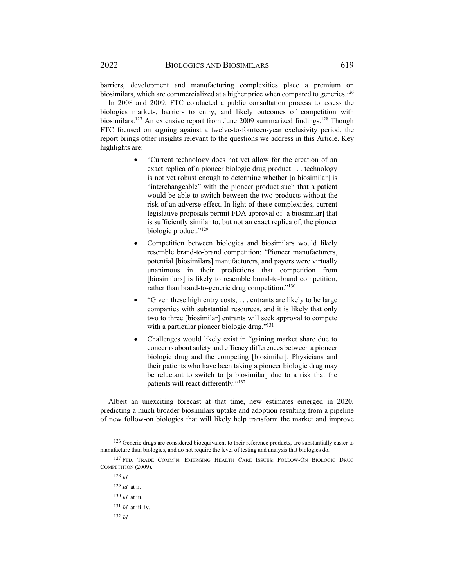barriers, development and manufacturing complexities place a premium on biosimilars, which are commercialized at a higher price when compared to generics.<sup>126</sup>

In 2008 and 2009, FTC conducted a public consultation process to assess the biologics markets, barriers to entry, and likely outcomes of competition with biosimilars.<sup>127</sup> An extensive report from June 2009 summarized findings.<sup>128</sup> Though FTC focused on arguing against a twelve-to-fourteen-year exclusivity period, the report brings other insights relevant to the questions we address in this Article. Key highlights are:

- "Current technology does not yet allow for the creation of an exact replica of a pioneer biologic drug product . . . technology is not yet robust enough to determine whether [a biosimilar] is "interchangeable" with the pioneer product such that a patient would be able to switch between the two products without the risk of an adverse effect. In light of these complexities, current legislative proposals permit FDA approval of [a biosimilar] that is sufficiently similar to, but not an exact replica of, the pioneer biologic product."129
- Competition between biologics and biosimilars would likely resemble brand-to-brand competition: "Pioneer manufacturers, potential [biosimilars] manufacturers, and payors were virtually unanimous in their predictions that competition from [biosimilars] is likely to resemble brand-to-brand competition, rather than brand-to-generic drug competition."<sup>130</sup>
- "Given these high entry costs, . . . entrants are likely to be large companies with substantial resources, and it is likely that only two to three [biosimilar] entrants will seek approval to compete with a particular pioneer biologic drug."<sup>131</sup>
- Challenges would likely exist in "gaining market share due to concerns about safety and efficacy differences between a pioneer biologic drug and the competing [biosimilar]. Physicians and their patients who have been taking a pioneer biologic drug may be reluctant to switch to [a biosimilar] due to a risk that the patients will react differently."132

Albeit an unexciting forecast at that time, new estimates emerged in 2020, predicting a much broader biosimilars uptake and adoption resulting from a pipeline of new follow-on biologics that will likely help transform the market and improve

<sup>128</sup> *Id.* <sup>129</sup> *Id.* at ii. <sup>130</sup> *Id.* at iii. <sup>131</sup> *Id.* at iii–iv. <sup>132</sup> *Id.*

<sup>&</sup>lt;sup>126</sup> Generic drugs are considered bioequivalent to their reference products, are substantially easier to manufacture than biologics, and do not require the level of testing and analysis that biologics do.

<sup>127</sup> FED. TRADE COMM'N, EMERGING HEALTH CARE ISSUES: FOLLOW-ON BIOLOGIC DRUG COMPETITION (2009).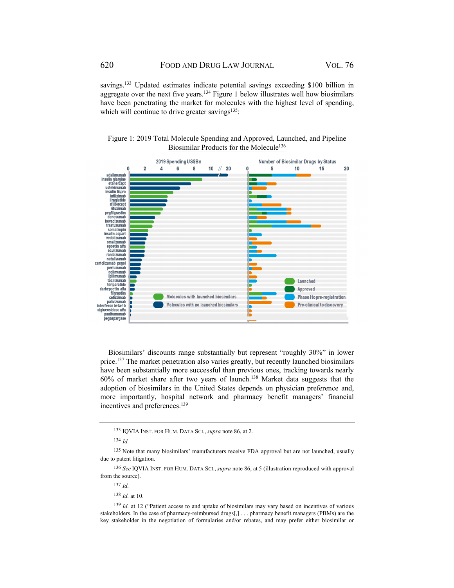savings.<sup>133</sup> Updated estimates indicate potential savings exceeding \$100 billion in aggregate over the next five years.134 Figure 1 below illustrates well how biosimilars have been penetrating the market for molecules with the highest level of spending, which will continue to drive greater savings $135$ :

Figure 1: 2019 Total Molecule Spending and Approved, Launched, and Pipeline Biosimilar Products for the Molecule<sup>136</sup>



Biosimilars' discounts range substantially but represent "roughly 30%" in lower price.<sup>137</sup> The market penetration also varies greatly, but recently launched biosimilars have been substantially more successful than previous ones, tracking towards nearly  $60\%$  of market share after two years of launch.<sup>138</sup> Market data suggests that the adoption of biosimilars in the United States depends on physician preference and, more importantly, hospital network and pharmacy benefit managers' financial incentives and preferences.<sup>139</sup>

<sup>133</sup> IQVIA INST. FOR HUM. DATA SCI., *supra* note 86, at 2.

<sup>134</sup> *Id.*

<sup>135</sup> Note that many biosimilars' manufacturers receive FDA approval but are not launched, usually due to patent litigation.

<sup>136</sup> *See* IQVIA INST. FOR HUM. DATA SCI., *supra* note 86, at 5 (illustration reproduced with approval from the source).

<sup>137</sup> *Id.*

<sup>138</sup> *Id.* at 10.

<sup>139</sup> *Id.* at 12 ("Patient access to and uptake of biosimilars may vary based on incentives of various stakeholders. In the case of pharmacy-reimbursed drugs[,] . . . pharmacy benefit managers (PBMs) are the key stakeholder in the negotiation of formularies and/or rebates, and may prefer either biosimilar or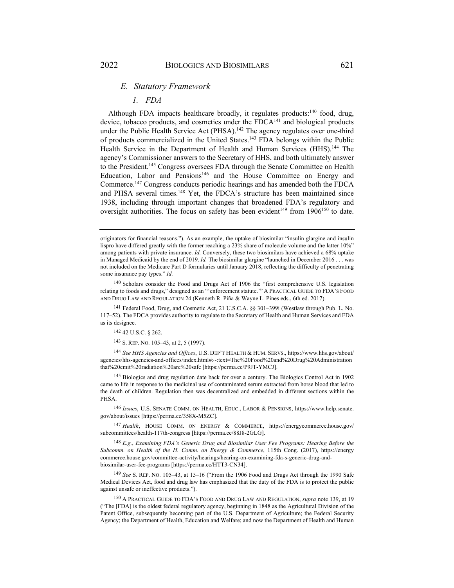#### *E. Statutory Framework*

#### *1. FDA*

Although FDA impacts healthcare broadly, it regulates products:<sup>140</sup> food, drug, device, tobacco products, and cosmetics under the FDCA<sup>141</sup> and biological products under the Public Health Service Act (PHSA).<sup>142</sup> The agency regulates over one-third of products commercialized in the United States.143 FDA belongs within the Public Health Service in the Department of Health and Human Services (HHS).<sup>144</sup> The agency's Commissioner answers to the Secretary of HHS, and both ultimately answer to the President.145 Congress oversees FDA through the Senate Committee on Health Education, Labor and Pensions<sup>146</sup> and the House Committee on Energy and Commerce.147 Congress conducts periodic hearings and has amended both the FDCA and PHSA several times.<sup>148</sup> Yet, the FDCA's structure has been maintained since 1938, including through important changes that broadened FDA's regulatory and oversight authorities. The focus on safety has been evident<sup>149</sup> from  $1906^{150}$  to date.

141 Federal Food, Drug, and Cosmetic Act, 21 U.S.C.A. §§ 301–399i (Westlaw through Pub. L. No. 117–52). The FDCA provides authority to regulate to the Secretary of Health and Human Services and FDA as its designee.

142 42 U.S.C. § 262.

<sup>143</sup> S. REP. NO. 105–43, at 2, 5 (1997).

<sup>144</sup> *See HHS Agencies and Offices*, U.S. DEP'T HEALTH & HUM. SERVS., https://www.hhs.gov/about/ agencies/hhs-agencies-and-offices/index.html#:~:text=The%20Food%20and%20Drug%20Administration that%20emit%20radiation%20are%20safe [https://perma.cc/P9JT-YMCJ].

145 Biologics and drug regulation date back for over a century. The Biologics Control Act in 1902 came to life in response to the medicinal use of contaminated serum extracted from horse blood that led to the death of children. Regulation then was decentralized and embedded in different sections within the **PHSA** 

<sup>146</sup> *Issues*, U.S. SENATE COMM. ON HEALTH, EDUC., LABOR & PENSIONS, https://www.help.senate. gov/about/issues [https://perma.cc/358X-M5ZC].

<sup>147</sup> *Health*, HOUSE COMM. ON ENERGY & COMMERCE, https://energycommerce.house.gov/ subcommittees/health-117th-congress [https://perma.cc/88J8-2GLG].

<sup>148</sup> *E.g.*, *Examining FDA's Generic Drug and Biosimilar User Fee Programs: Hearing Before the Subcomm. on Health of the H. Comm. on Energy & Commerce*, 115th Cong. (2017), https://energy commerce.house.gov/committee-activity/hearings/hearing-on-examining-fda-s-generic-drug-andbiosimilar-user-fee-programs [https://perma.cc/HTT3-CN34].

<sup>149</sup> *See* S. REP. NO. 105–43, at 15–16 ("From the 1906 Food and Drugs Act through the 1990 Safe Medical Devices Act, food and drug law has emphasized that the duty of the FDA is to protect the public against unsafe or ineffective products.").

<sup>150</sup> A PRACTICAL GUIDE TO FDA'S FOOD AND DRUG LAW AND REGULATION, *supra* note 139, at 19 ("The [FDA] is the oldest federal regulatory agency, beginning in 1848 as the Agricultural Division of the Patent Office, subsequently becoming part of the U.S. Department of Agriculture; the Federal Security Agency; the Department of Health, Education and Welfare; and now the Department of Health and Human

originators for financial reasons."). As an example, the uptake of biosimilar "insulin glargine and insulin lispro have differed greatly with the former reaching a 23% share of molecule volume and the latter 10%" among patients with private insurance. *Id.* Conversely, these two biosimilars have achieved a 68% uptake in Managed Medicaid by the end of 2019. *Id.* The biosimilar glargine "launched in December 2016 . . . was not included on the Medicare Part D formularies until January 2018, reflecting the difficulty of penetrating some insurance pay types." *Id.*

<sup>140</sup> Scholars consider the Food and Drugs Act of 1906 the "first comprehensive U.S. legislation relating to foods and drugs," designed as an "'enforcement statute.'" A PRACTICAL GUIDE TO FDA'S FOOD AND DRUG LAW AND REGULATION 24 (Kenneth R. Piña & Wayne L. Pines eds., 6th ed. 2017).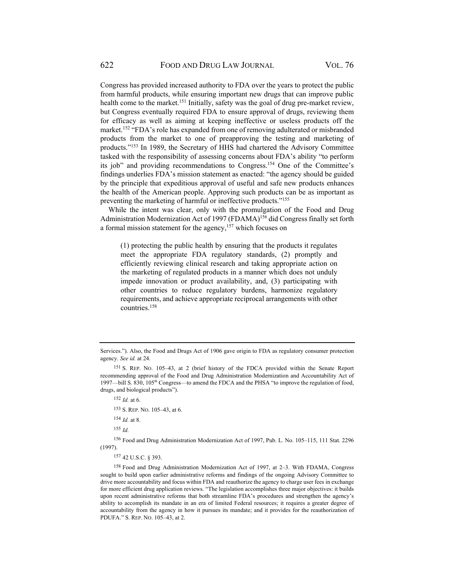Congress has provided increased authority to FDA over the years to protect the public from harmful products, while ensuring important new drugs that can improve public health come to the market.<sup>151</sup> Initially, safety was the goal of drug pre-market review, but Congress eventually required FDA to ensure approval of drugs, reviewing them for efficacy as well as aiming at keeping ineffective or useless products off the market.<sup>152</sup> "FDA's role has expanded from one of removing adulterated or misbranded products from the market to one of preapproving the testing and marketing of products."153 In 1989, the Secretary of HHS had chartered the Advisory Committee tasked with the responsibility of assessing concerns about FDA's ability "to perform its job" and providing recommendations to Congress.154 One of the Committee's findings underlies FDA's mission statement as enacted: "the agency should be guided by the principle that expeditious approval of useful and safe new products enhances the health of the American people. Approving such products can be as important as preventing the marketing of harmful or ineffective products."155

While the intent was clear, only with the promulgation of the Food and Drug Administration Modernization Act of 1997 (FDAMA)<sup>156</sup> did Congress finally set forth a formal mission statement for the agency, $157$  which focuses on

(1) protecting the public health by ensuring that the products it regulates meet the appropriate FDA regulatory standards, (2) promptly and efficiently reviewing clinical research and taking appropriate action on the marketing of regulated products in a manner which does not unduly impede innovation or product availability, and, (3) participating with other countries to reduce regulatory burdens, harmonize regulatory requirements, and achieve appropriate reciprocal arrangements with other countries.158

<sup>152</sup> *Id.* at 6.

<sup>155</sup> *Id.*

156 Food and Drug Administration Modernization Act of 1997, Pub. L. No. 105–115, 111 Stat. 2296 (1997).

157 42 U.S.C. § 393.

158 Food and Drug Administration Modernization Act of 1997, at 2–3. With FDAMA, Congress sought to build upon earlier administrative reforms and findings of the ongoing Advisory Committee to drive more accountability and focus within FDA and reauthorize the agency to charge user fees in exchange for more efficient drug application reviews. "The legislation accomplishes three major objectives: it builds upon recent administrative reforms that both streamline FDA's procedures and strengthen the agency's ability to accomplish its mandate in an era of limited Federal resources; it requires a greater degree of accountability from the agency in how it pursues its mandate; and it provides for the reauthorization of PDUFA." S. REP. NO. 105–43, at 2.

Services."). Also, the Food and Drugs Act of 1906 gave origin to FDA as regulatory consumer protection agency. *See id.* at 24.

<sup>151</sup> S. REP. NO. 105–43, at 2 (brief history of the FDCA provided within the Senate Report recommending approval of the Food and Drug Administration Modernization and Accountability Act of 1997—bill S. 830, 105<sup>th</sup> Congress—to amend the FDCA and the PHSA "to improve the regulation of food, drugs, and biological products").

<sup>153</sup> S. REP. NO. 105–43, at 6.

<sup>154</sup> *Id.* at 8.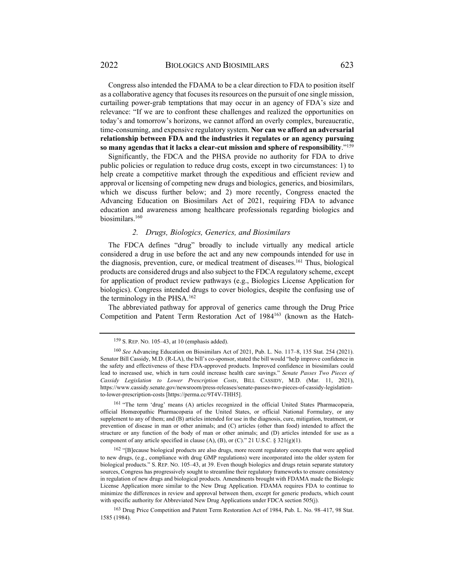Congress also intended the FDAMA to be a clear direction to FDA to position itself as a collaborative agency that focuses its resources on the pursuit of one single mission, curtailing power-grab temptations that may occur in an agency of FDA's size and relevance: "If we are to confront these challenges and realized the opportunities on today's and tomorrow's horizons, we cannot afford an overly complex, bureaucratic, time-consuming, and expensive regulatory system. **Nor can we afford an adversarial relationship between FDA and the industries it regulates or an agency pursuing so many agendas that it lacks a clear-cut mission and sphere of responsibility**."159

Significantly, the FDCA and the PHSA provide no authority for FDA to drive public policies or regulation to reduce drug costs, except in two circumstances: 1) to help create a competitive market through the expeditious and efficient review and approval or licensing of competing new drugs and biologics, generics, and biosimilars, which we discuss further below; and 2) more recently, Congress enacted the Advancing Education on Biosimilars Act of 2021, requiring FDA to advance education and awareness among healthcare professionals regarding biologics and biosimilars.<sup>160</sup>

#### *2. Drugs, Biologics, Generics, and Biosimilars*

The FDCA defines "drug" broadly to include virtually any medical article considered a drug in use before the act and any new compounds intended for use in the diagnosis, prevention, cure, or medical treatment of diseases.161 Thus, biological products are considered drugs and also subject to the FDCA regulatory scheme, except for application of product review pathways (e.g., Biologics License Application for biologics). Congress intended drugs to cover biologics, despite the confusing use of the terminology in the PHSA.162

The abbreviated pathway for approval of generics came through the Drug Price Competition and Patent Term Restoration Act of 1984163 (known as the Hatch-

161 "The term 'drug' means (A) articles recognized in the official United States Pharmacopœia, official Homœopathic Pharmacopœia of the United States, or official National Formulary, or any supplement to any of them; and (B) articles intended for use in the diagnosis, cure, mitigation, treatment, or prevention of disease in man or other animals; and (C) articles (other than food) intended to affect the structure or any function of the body of man or other animals; and (D) articles intended for use as a component of any article specified in clause  $(A)$ ,  $(B)$ , or  $(C)$ ." 21 U.S.C. § 321(g)(1).

<sup>162</sup> "[B]ecause biological products are also drugs, more recent regulatory concepts that were applied to new drugs, (e.g., compliance with drug GMP regulations) were incorporated into the older system for biological products." S. REP. NO. 105–43, at 39. Even though biologics and drugs retain separate statutory sources, Congress has progressively sought to streamline their regulatory frameworks to ensure consistency in regulation of new drugs and biological products. Amendments brought with FDAMA made the Biologic License Application more similar to the New Drug Application. FDAMA requires FDA to continue to minimize the differences in review and approval between them, except for generic products, which count with specific authority for Abbreviated New Drug Applications under FDCA section 505(j).

163 Drug Price Competition and Patent Term Restoration Act of 1984, Pub. L. No. 98–417, 98 Stat. 1585 (1984).

<sup>159</sup> S. REP. NO. 105–43, at 10 (emphasis added).

<sup>160</sup> *See* Advancing Education on Biosimilars Act of 2021, Pub. L. No. 117–8, 135 Stat. 254 (2021). Senator Bill Cassidy, M.D. (R-LA), the bill's co-sponsor, stated the bill would "help improve confidence in the safety and effectiveness of these FDA-approved products. Improved confidence in biosimilars could lead to increased use, which in turn could increase health care savings." *Senate Passes Two Pieces of Cassidy Legislation to Lower Prescription Costs*, BILL CASSIDY, M.D. (Mar. 11, 2021), https://www.cassidy.senate.gov/newsroom/press-releases/senate-passes-two-pieces-of-cassidy-legislationto-lower-prescription-costs [https://perma.cc/9T4V-THH5].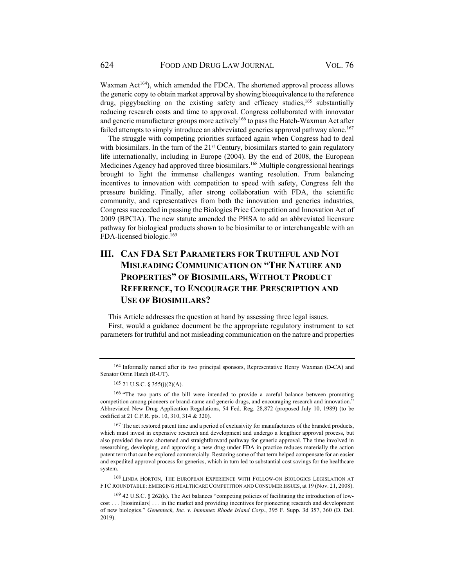Waxman Act<sup>164</sup>), which amended the FDCA. The shortened approval process allows the generic copy to obtain market approval by showing bioequivalence to the reference drug, piggybacking on the existing safety and efficacy studies,  $165$  substantially reducing research costs and time to approval. Congress collaborated with innovator and generic manufacturer groups more actively<sup>166</sup> to pass the Hatch-Waxman Act after failed attempts to simply introduce an abbreviated generics approval pathway alone.<sup>167</sup>

The struggle with competing priorities surfaced again when Congress had to deal with biosimilars. In the turn of the  $21<sup>st</sup>$  Century, biosimilars started to gain regulatory life internationally, including in Europe (2004). By the end of 2008, the European Medicines Agency had approved three biosimilars.168 Multiple congressional hearings brought to light the immense challenges wanting resolution. From balancing incentives to innovation with competition to speed with safety, Congress felt the pressure building. Finally, after strong collaboration with FDA, the scientific community, and representatives from both the innovation and generics industries, Congress succeeded in passing the Biologics Price Competition and Innovation Act of 2009 (BPCIA). The new statute amended the PHSA to add an abbreviated licensure pathway for biological products shown to be biosimilar to or interchangeable with an FDA-licensed biologic.169

## **III. CAN FDA SET PARAMETERS FOR TRUTHFUL AND NOT MISLEADING COMMUNICATION ON "THE NATURE AND PROPERTIES" OF BIOSIMILARS, WITHOUT PRODUCT REFERENCE, TO ENCOURAGE THE PRESCRIPTION AND USE OF BIOSIMILARS?**

This Article addresses the question at hand by assessing three legal issues. First, would a guidance document be the appropriate regulatory instrument to set parameters for truthful and not misleading communication on the nature and properties

166 "The two parts of the bill were intended to provide a careful balance between promoting competition among pioneers or brand-name and generic drugs, and encouraging research and innovation." Abbreviated New Drug Application Regulations, 54 Fed. Reg. 28,872 (proposed July 10, 1989) (to be codified at 21 C.F.R. pts. 10, 310, 314 & 320).

167 The act restored patent time and a period of exclusivity for manufacturers of the branded products, which must invest in expensive research and development and undergo a lengthier approval process, but also provided the new shortened and straightforward pathway for generic approval. The time involved in researching, developing, and approving a new drug under FDA in practice reduces materially the action patent term that can be explored commercially. Restoring some of that term helped compensate for an easier and expedited approval process for generics, which in turn led to substantial cost savings for the healthcare system.

<sup>168</sup> LINDA HORTON, THE EUROPEAN EXPERIENCE WITH FOLLOW-ON BIOLOGICS LEGISLATION AT FTC ROUNDTABLE: EMERGING HEALTHCARE COMPETITION AND CONSUMER ISSUES, at 19 (Nov. 21, 2008).

 $169$  42 U.S.C. § 262(k). The Act balances "competing policies of facilitating the introduction of lowcost . . . [biosimilars] . . . in the market and providing incentives for pioneering research and development of new biologics." *Genentech, Inc. v. Immunex Rhode Island Corp.*, 395 F. Supp. 3d 357, 360 (D. Del. 2019).

<sup>164</sup> Informally named after its two principal sponsors, Representative Henry Waxman (D-CA) and Senator Orrin Hatch (R-UT).

<sup>165 21</sup> U.S.C. § 355(j)(2)(A).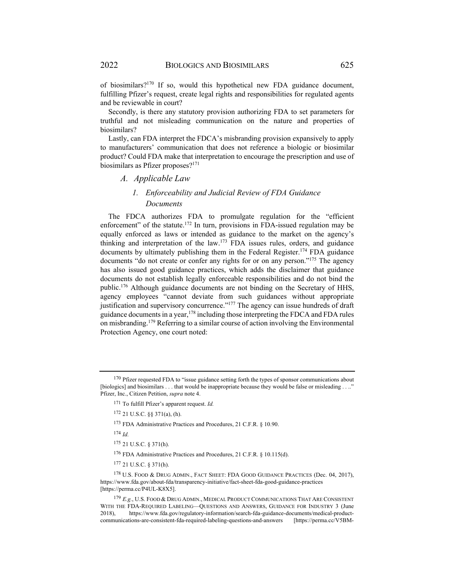of biosimilars?170 If so, would this hypothetical new FDA guidance document, fulfilling Pfizer's request, create legal rights and responsibilities for regulated agents and be reviewable in court?

Secondly, is there any statutory provision authorizing FDA to set parameters for truthful and not misleading communication on the nature and properties of biosimilars?

Lastly, can FDA interpret the FDCA's misbranding provision expansively to apply to manufacturers' communication that does not reference a biologic or biosimilar product? Could FDA make that interpretation to encourage the prescription and use of biosimilars as Pfizer proposes?<sup>171</sup>

#### *A. Applicable Law*

## *1. Enforceability and Judicial Review of FDA Guidance Documents*

The FDCA authorizes FDA to promulgate regulation for the "efficient enforcement" of the statute.<sup>172</sup> In turn, provisions in FDA-issued regulation may be equally enforced as laws or intended as guidance to the market on the agency's thinking and interpretation of the law.173 FDA issues rules, orders, and guidance documents by ultimately publishing them in the Federal Register.<sup>174</sup> FDA guidance documents "do not create or confer any rights for or on any person."175 The agency has also issued good guidance practices, which adds the disclaimer that guidance documents do not establish legally enforceable responsibilities and do not bind the public.176 Although guidance documents are not binding on the Secretary of HHS, agency employees "cannot deviate from such guidances without appropriate justification and supervisory concurrence."177 The agency can issue hundreds of draft guidance documents in a year, <sup>178</sup> including those interpreting the FDCA and FDA rules on misbranding.179 Referring to a similar course of action involving the Environmental Protection Agency, one court noted:

<sup>174</sup> *Id.*

177 21 U.S.C. § 371(h).

<sup>178</sup> U.S. FOOD & DRUG ADMIN., FACT SHEET: FDA GOOD GUIDANCE PRACTICES (Dec. 04, 2017), https://www.fda.gov/about-fda/transparency-initiative/fact-sheet-fda-good-guidance-practices [https://perma.cc/P4UL-K8X5].

<sup>179</sup> *E.g.*, U.S. FOOD & DRUG ADMIN., MEDICAL PRODUCT COMMUNICATIONS THAT ARE CONSISTENT WITH THE FDA-REQUIRED LABELING—QUESTIONS AND ANSWERS, GUIDANCE FOR INDUSTRY 3 (June 2018), https://www.fda.gov/regulatory-information/search-fda-guidance-documents/medical-productcommunications-are-consistent-fda-required-labeling-questions-and-answers [https://perma.cc/V5BM-

<sup>&</sup>lt;sup>170</sup> Pfizer requested FDA to "issue guidance setting forth the types of sponsor communications about [biologics] and biosimilars . . . that would be inappropriate because they would be false or misleading . . .." Pfizer, Inc., Citizen Petition, *supra* note 4.

<sup>171</sup> To fulfill Pfizer's apparent request. *Id.*

<sup>172 21</sup> U.S.C. §§ 371(a), (h).

<sup>173</sup> FDA Administrative Practices and Procedures, 21 C.F.R. § 10.90.

<sup>175 21</sup> U.S.C. § 371(h).

<sup>176</sup> FDA Administrative Practices and Procedures, 21 C.F.R. § 10.115(d).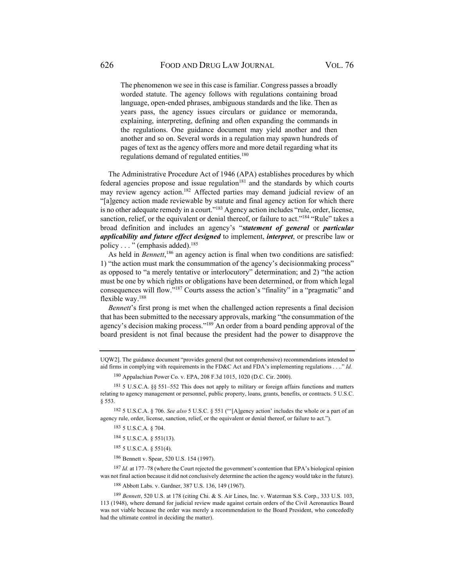The phenomenon we see in this case is familiar. Congress passes a broadly worded statute. The agency follows with regulations containing broad language, open-ended phrases, ambiguous standards and the like. Then as years pass, the agency issues circulars or guidance or memoranda, explaining, interpreting, defining and often expanding the commands in the regulations. One guidance document may yield another and then another and so on. Several words in a regulation may spawn hundreds of pages of text as the agency offers more and more detail regarding what its regulations demand of regulated entities.180

The Administrative Procedure Act of 1946 (APA) establishes procedures by which federal agencies propose and issue regulation $181$  and the standards by which courts may review agency action.182 Affected parties may demand judicial review of an "[a]gency action made reviewable by statute and final agency action for which there is no other adequate remedy in a court."<sup>183</sup> Agency action includes "rule, order, license, sanction, relief, or the equivalent or denial thereof, or failure to act."<sup>184</sup> "Rule" takes a broad definition and includes an agency's "*statement of general* or *particular applicability and future effect designed* to implement, *interpret*, or prescribe law or policy . . . " (emphasis added).185

As held in *Bennett*,<sup>186</sup> an agency action is final when two conditions are satisfied: 1) "the action must mark the consummation of the agency's decisionmaking process" as opposed to "a merely tentative or interlocutory" determination; and 2) "the action must be one by which rights or obligations have been determined, or from which legal consequences will flow."187 Courts assess the action's "finality" in a "pragmatic" and flexible way.<sup>188</sup>

*Bennett*'s first prong is met when the challenged action represents a final decision that has been submitted to the necessary approvals, marking "the consummation of the agency's decision making process."189 An order from a board pending approval of the board president is not final because the president had the power to disapprove the

180 Appalachian Power Co. v. EPA, 208 F.3d 1015, 1020 (D.C. Cir. 2000).

182 5 U.S.C.A. § 706. *See also* 5 U.S.C. § 551 ("'[A]gency action' includes the whole or a part of an agency rule, order, license, sanction, relief, or the equivalent or denial thereof, or failure to act.").

183 5 U.S.C.A. § 704.

184 5 U.S.C.A. § 551(13).

185 5 U.S.C.A. § 551(4).

186 Bennett v. Spear, 520 U.S. 154 (1997).

<sup>187</sup> *Id.* at 177–78 (where the Court rejected the government's contention that EPA's biological opinion was not final action because it did not conclusively determine the action the agency would take in the future).

188 Abbott Labs. v. Gardner, 387 U.S. 136, 149 (1967).

<sup>189</sup> *Bennett*, 520 U.S. at 178 (citing Chi. & S. Air Lines, Inc. v. Waterman S.S. Corp., 333 U.S. 103, 113 (1948), where demand for judicial review made against certain orders of the Civil Aeronautics Board was not viable because the order was merely a recommendation to the Board President, who concededly had the ultimate control in deciding the matter).

UQW2]. The guidance document "provides general (but not comprehensive) recommendations intended to aid firms in complying with requirements in the FD&C Act and FDA's implementing regulations . . .." *Id.*

<sup>181 5</sup> U.S.C.A. §§ 551–552 This does not apply to military or foreign affairs functions and matters relating to agency management or personnel, public property, loans, grants, benefits, or contracts. 5 U.S.C. § 553.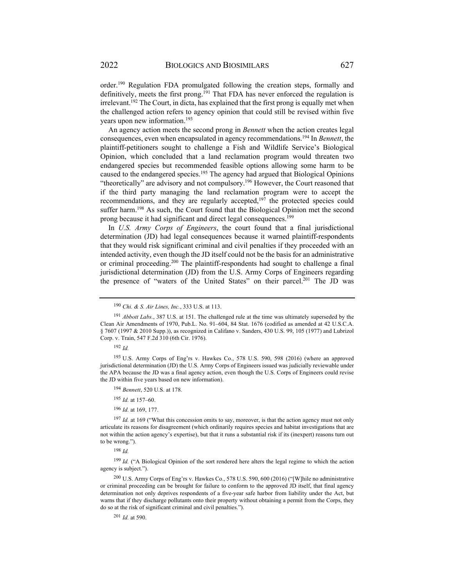order.190 Regulation FDA promulgated following the creation steps, formally and definitively, meets the first prong.<sup>191</sup> That FDA has never enforced the regulation is  $i$ irrelevant.<sup>192</sup> The Court, in dicta, has explained that the first prong is equally met when the challenged action refers to agency opinion that could still be revised within five years upon new information.<sup>193</sup>

An agency action meets the second prong in *Bennett* when the action creates legal consequences, even when encapsulated in agency recommendations.194 In *Bennett*, the plaintiff-petitioners sought to challenge a Fish and Wildlife Service's Biological Opinion, which concluded that a land reclamation program would threaten two endangered species but recommended feasible options allowing some harm to be caused to the endangered species.<sup>195</sup> The agency had argued that Biological Opinions "theoretically" are advisory and not compulsory.196 However, the Court reasoned that if the third party managing the land reclamation program were to accept the recommendations, and they are regularly accepted, $197$  the protected species could suffer harm.198 As such, the Court found that the Biological Opinion met the second prong because it had significant and direct legal consequences.<sup>199</sup>

In *U.S. Army Corps of Engineers*, the court found that a final jurisdictional determination (JD) had legal consequences because it warned plaintiff-respondents that they would risk significant criminal and civil penalties if they proceeded with an intended activity, even though the JD itself could not be the basis for an administrative or criminal proceeding.200 The plaintiff-respondents had sought to challenge a final jurisdictional determination (JD) from the U.S. Army Corps of Engineers regarding the presence of "waters of the United States" on their parcel.<sup>201</sup> The JD was

193 U.S. Army Corps of Eng'rs v. Hawkes Co., 578 U.S. 590, 598 (2016) (where an approved jurisdictional determination (JD) the U.S. Army Corps of Engineers issued was judicially reviewable under the APA because the JD was a final agency action, even though the U.S. Corps of Engineers could revise the JD within five years based on new information).

- <sup>194</sup> *Bennett*, 520 U.S. at 178.
- <sup>195</sup> *Id.* at 157–60.
- <sup>196</sup> *Id.* at 169, 177.

<sup>197</sup> *Id.* at 169 ("What this concession omits to say, moreover, is that the action agency must not only articulate its reasons for disagreement (which ordinarily requires species and habitat investigations that are not within the action agency's expertise), but that it runs a substantial risk if its (inexpert) reasons turn out to be wrong.").

<sup>198</sup> *Id.*

<sup>199</sup> Id. ("A Biological Opinion of the sort rendered here alters the legal regime to which the action agency is subject.").

200 U.S. Army Corps of Eng'rs v. Hawkes Co., 578 U.S. 590, 600 (2016) ("[W]hile no administrative or criminal proceeding can be brought for failure to conform to the approved JD itself, that final agency determination not only deprives respondents of a five-year safe harbor from liability under the Act, but warns that if they discharge pollutants onto their property without obtaining a permit from the Corps, they do so at the risk of significant criminal and civil penalties.").

<sup>201</sup> *Id.* at 590.

<sup>190</sup> *Chi. & S. Air Lines, Inc.*, 333 U.S. at 113.

<sup>191</sup> *Abbott Labs.*, 387 U.S. at 151. The challenged rule at the time was ultimately superseded by the Clean Air Amendments of 1970, Pub.L. No. 91–604, 84 Stat. 1676 (codified as amended at 42 U.S.C.A. § 7607 (1997 & 2010 Supp.)), as recognized in Califano v. Sanders, 430 U.S. 99, 105 (1977) and Lubrizol Corp. v. Train, 547 F.2d 310 (6th Cir. 1976).

<sup>192</sup> *Id.*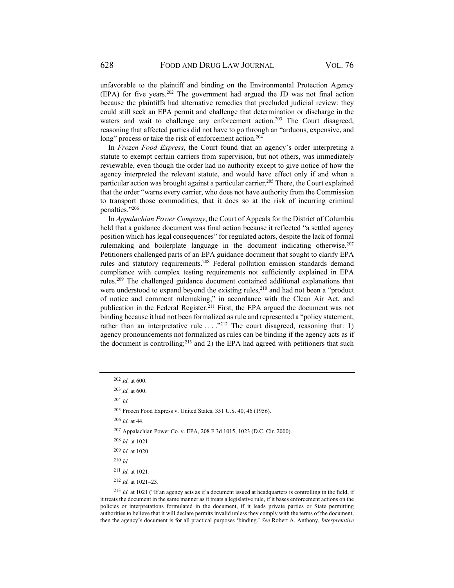unfavorable to the plaintiff and binding on the Environmental Protection Agency  $(EPA)$  for five years.<sup>202</sup> The government had argued the JD was not final action because the plaintiffs had alternative remedies that precluded judicial review: they could still seek an EPA permit and challenge that determination or discharge in the waters and wait to challenge any enforcement action.<sup>203</sup> The Court disagreed, reasoning that affected parties did not have to go through an "arduous, expensive, and long" process or take the risk of enforcement action.<sup>204</sup>

In *Frozen Food Express*, the Court found that an agency's order interpreting a statute to exempt certain carriers from supervision, but not others, was immediately reviewable, even though the order had no authority except to give notice of how the agency interpreted the relevant statute, and would have effect only if and when a particular action was brought against a particular carrier.<sup>205</sup> There, the Court explained that the order "warns every carrier, who does not have authority from the Commission to transport those commodities, that it does so at the risk of incurring criminal penalties."206

In *Appalachian Power Company*, the Court of Appeals for the District of Columbia held that a guidance document was final action because it reflected "a settled agency position which has legal consequences" for regulated actors, despite the lack of formal rulemaking and boilerplate language in the document indicating otherwise.<sup>207</sup> Petitioners challenged parts of an EPA guidance document that sought to clarify EPA rules and statutory requirements.<sup>208</sup> Federal pollution emission standards demand compliance with complex testing requirements not sufficiently explained in EPA rules.209 The challenged guidance document contained additional explanations that were understood to expand beyond the existing rules,<sup>210</sup> and had not been a "product of notice and comment rulemaking," in accordance with the Clean Air Act, and publication in the Federal Register.<sup>211</sup> First, the EPA argued the document was not binding because it had not been formalized as rule and represented a "policy statement, rather than an interpretative rule  $\dots$   $\cdot$ <sup>212</sup> The court disagreed, reasoning that: 1) agency pronouncements not formalized as rules can be binding if the agency acts as if the document is controlling; $^{213}$  and 2) the EPA had agreed with petitioners that such

<sup>204</sup> *Id.*

205 Frozen Food Express v. United States, 351 U.S. 40, 46 (1956).

<sup>206</sup> *Id.* at 44.

<sup>207</sup>Appalachian Power Co. v. EPA, 208 F.3d 1015, 1023 (D.C. Cir. 2000).

- <sup>208</sup> *Id.* at 1021.
- <sup>209</sup> *Id.* at 1020.

<sup>210</sup> *Id.*

<sup>211</sup> *Id.* at 1021.

<sup>213</sup> *Id.* at 1021 ("If an agency acts as if a document issued at headquarters is controlling in the field, if it treats the document in the same manner as it treats a legislative rule, if it bases enforcement actions on the policies or interpretations formulated in the document, if it leads private parties or State permitting authorities to believe that it will declare permits invalid unless they comply with the terms of the document, then the agency's document is for all practical purposes 'binding.' *See* Robert A. Anthony, *Interpretative* 

<sup>202</sup> *Id.* at 600.

<sup>203</sup> *Id.* at 600.

<sup>212</sup> *Id.* at 1021–23.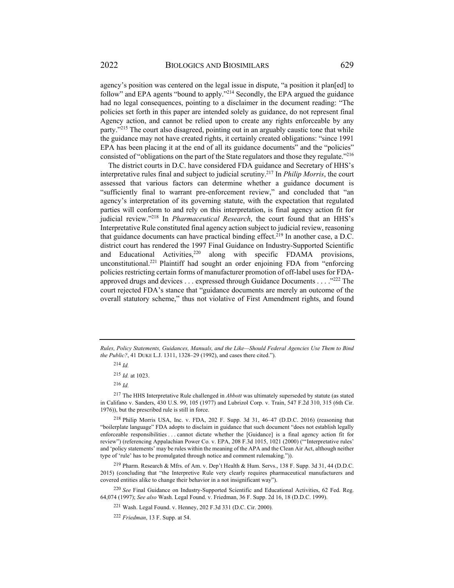agency's position was centered on the legal issue in dispute, "a position it plan[ed] to follow" and EPA agents "bound to apply."<sup>214</sup> Secondly, the EPA argued the guidance had no legal consequences, pointing to a disclaimer in the document reading: "The policies set forth in this paper are intended solely as guidance, do not represent final Agency action, and cannot be relied upon to create any rights enforceable by any party."215 The court also disagreed, pointing out in an arguably caustic tone that while the guidance may not have created rights, it certainly created obligations: "since 1991 EPA has been placing it at the end of all its guidance documents" and the "policies" consisted of "obligations on the part of the State regulators and those they regulate."<sup>216</sup>

The district courts in D.C. have considered FDA guidance and Secretary of HHS's interpretative rules final and subject to judicial scrutiny.217 In *Philip Morris*, the court assessed that various factors can determine whether a guidance document is "sufficiently final to warrant pre-enforcement review," and concluded that "an agency's interpretation of its governing statute, with the expectation that regulated parties will conform to and rely on this interpretation, is final agency action fit for judicial review."218 In *Pharmaceutical Research*, the court found that an HHS's Interpretative Rule constituted final agency action subject to judicial review, reasoning that guidance documents can have practical binding effect.<sup>219</sup> In another case, a D.C. district court has rendered the 1997 Final Guidance on Industry-Supported Scientific and Educational Activities,<sup>220</sup> along with specific FDAMA provisions, unconstitutional.<sup>221</sup> Plaintiff had sought an order enjoining FDA from "enforcing policies restricting certain forms of manufacturer promotion of off-label uses for FDAapproved drugs and devices . . . expressed through Guidance Documents . . . ."222 The court rejected FDA's stance that "guidance documents are merely an outcome of the overall statutory scheme," thus not violative of First Amendment rights, and found

<sup>215</sup> *Id.* at 1023.

<sup>216</sup> *Id.*

217 The HHS Interpretative Rule challenged in *Abbott* was ultimately superseded by statute (as stated in Califano v. Sanders, 430 U.S. 99, 105 (1977) and Lubrizol Corp. v. Train, 547 F.2d 310, 315 (6th Cir. 1976)), but the prescribed rule is still in force.

218 Philip Morris USA, Inc. v. FDA, 202 F. Supp. 3d 31, 46–47 (D.D.C. 2016) (reasoning that "boilerplate language" FDA adopts to disclaim in guidance that such document "does not establish legally enforceable responsibilities . . . cannot dictate whether the [Guidance] is a final agency action fit for review") (referencing Appalachian Power Co. v. EPA, 208 F.3d 1015, 1021 (2000) ("'Interpretative rules' and 'policy statements' may be rules within the meaning of the APA and the Clean Air Act, although neither type of 'rule' has to be promulgated through notice and comment rulemaking.")).

219 Pharm. Research & Mfrs. of Am. v. Dep't Health & Hum. Servs., 138 F. Supp. 3d 31, 44 (D.D.C. 2015) (concluding that "the Interpretive Rule very clearly requires pharmaceutical manufacturers and covered entities alike to change their behavior in a not insignificant way").

<sup>220</sup> *See* Final Guidance on Industry-Supported Scientific and Educational Activities, 62 Fed. Reg. 64,074 (1997); *See also* Wash. Legal Found. v. Friedman, 36 F. Supp. 2d 16, 18 (D.D.C. 1999).

221 Wash. Legal Found. v. Henney, 202 F.3d 331 (D.C. Cir. 2000).

*Rules, Policy Statements, Guidances, Manuals, and the Like—Should Federal Agencies Use Them to Bind the Public?*, 41 DUKE L.J. 1311, 1328–29 (1992), and cases there cited.").

<sup>214</sup> *Id.*

<sup>222</sup> *Friedman*, 13 F. Supp. at 54.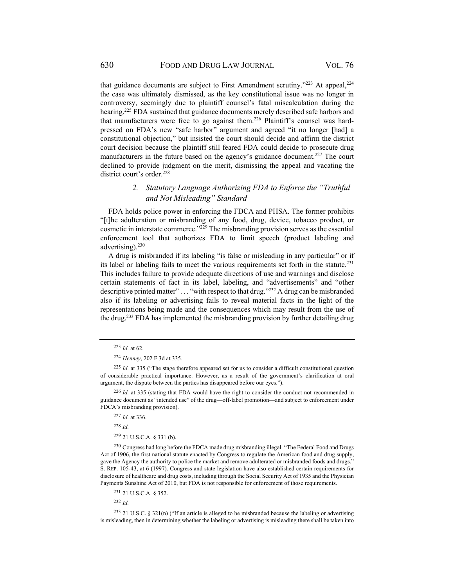that guidance documents are subject to First Amendment scrutiny."<sup>223</sup> At appeal,  $224$ the case was ultimately dismissed, as the key constitutional issue was no longer in controversy, seemingly due to plaintiff counsel's fatal miscalculation during the hearing.<sup>225</sup> FDA sustained that guidance documents merely described safe harbors and that manufacturers were free to go against them.226 Plaintiff's counsel was hardpressed on FDA's new "safe harbor" argument and agreed "it no longer [had] a constitutional objection," but insisted the court should decide and affirm the district court decision because the plaintiff still feared FDA could decide to prosecute drug manufacturers in the future based on the agency's guidance document.<sup>227</sup> The court declined to provide judgment on the merit, dismissing the appeal and vacating the district court's order.<sup>228</sup>

## *2. Statutory Language Authorizing FDA to Enforce the "Truthful and Not Misleading" Standard*

FDA holds police power in enforcing the FDCA and PHSA. The former prohibits "[t]he adulteration or misbranding of any food, drug, device, tobacco product, or cosmetic in interstate commerce."229 The misbranding provision serves as the essential enforcement tool that authorizes FDA to limit speech (product labeling and advertising). $230$ 

A drug is misbranded if its labeling "is false or misleading in any particular" or if its label or labeling fails to meet the various requirements set forth in the statute.<sup>231</sup> This includes failure to provide adequate directions of use and warnings and disclose certain statements of fact in its label, labeling, and "advertisements" and "other descriptive printed matter"  $\dots$  "with respect to that drug."<sup>232</sup> A drug can be misbranded also if its labeling or advertising fails to reveal material facts in the light of the representations being made and the consequences which may result from the use of the drug.<sup>233</sup> FDA has implemented the misbranding provision by further detailing drug

<sup>228</sup> *Id.*

229 21 U.S.C.A. § 331 (b).

<sup>230</sup> Congress had long before the FDCA made drug misbranding illegal. "The Federal Food and Drugs Act of 1906, the first national statute enacted by Congress to regulate the American food and drug supply, gave the Agency the authority to police the market and remove adulterated or misbranded foods and drugs." S. REP. 105-43, at 6 (1997). Congress and state legislation have also established certain requirements for disclosure of healthcare and drug costs, including through the Social Security Act of 1935 and the Physician Payments Sunshine Act of 2010, but FDA is not responsible for enforcement of those requirements.

<sup>232</sup> *Id.*

233 21 U.S.C. § 321(n) ("If an article is alleged to be misbranded because the labeling or advertising is misleading, then in determining whether the labeling or advertising is misleading there shall be taken into

<sup>223</sup> *Id.* at 62.

<sup>224</sup> *Henney*, 202 F.3d at 335.

<sup>225</sup> *Id.* at 335 ("The stage therefore appeared set for us to consider a difficult constitutional question of considerable practical importance. However, as a result of the government's clarification at oral argument, the dispute between the parties has disappeared before our eyes.").

<sup>226</sup> *Id.* at 335 (stating that FDA would have the right to consider the conduct not recommended in guidance document as "intended use" of the drug—off-label promotion—and subject to enforcement under FDCA's misbranding provision).

<sup>227</sup> *Id.* at 336.

<sup>231 21</sup> U.S.C.A. § 352.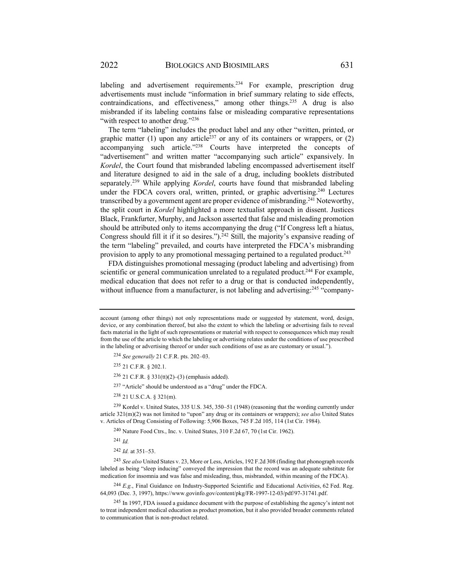labeling and advertisement requirements.<sup>234</sup> For example, prescription drug advertisements must include "information in brief summary relating to side effects, contraindications, and effectiveness," among other things.<sup>235</sup> A drug is also misbranded if its labeling contains false or misleading comparative representations "with respect to another drug."<sup>236</sup>

The term "labeling" includes the product label and any other "written, printed, or graphic matter (1) upon any article<sup>237</sup> or any of its containers or wrappers, or (2) accompanying such article."238 Courts have interpreted the concepts of "advertisement" and written matter "accompanying such article" expansively. In *Kordel*, the Court found that misbranded labeling encompassed advertisement itself and literature designed to aid in the sale of a drug, including booklets distributed separately.239 While applying *Kordel*, courts have found that misbranded labeling under the FDCA covers oral, written, printed, or graphic advertising.<sup>240</sup> Lectures transcribed by a government agent are proper evidence of misbranding.<sup>241</sup> Noteworthy, the split court in *Kordel* highlighted a more textualist approach in dissent. Justices Black, Frankfurter, Murphy, and Jackson asserted that false and misleading promotion should be attributed only to items accompanying the drug ("If Congress left a hiatus, Congress should fill it if it so desires.").<sup>242</sup> Still, the majority's expansive reading of the term "labeling" prevailed, and courts have interpreted the FDCA's misbranding provision to apply to any promotional messaging pertained to a regulated product.<sup>243</sup>

FDA distinguishes promotional messaging (product labeling and advertising) from scientific or general communication unrelated to a regulated product.<sup>244</sup> For example, medical education that does not refer to a drug or that is conducted independently, without influence from a manufacturer, is not labeling and advertising:  $245$  "company-

<sup>234</sup> *See generally* 21 C.F.R. pts. 202–03.

235 21 C.F.R. § 202.1.

<sup>236</sup> 21 C.F.R. § 331(tt)(2)–(3) (emphasis added).

237 "Article" should be understood as a "drug" under the FDCA.

238 21 U.S.C.A. § 321(m).

239 Kordel v. United States, 335 U.S. 345, 350–51 (1948) (reasoning that the wording currently under article 321(m)(2) was not limited to "upon" any drug or its containers or wrappers); *see also* United States v. Articles of Drug Consisting of Following: 5,906 Boxes, 745 F.2d 105, 114 (1st Cir. 1984).

240 Nature Food Ctrs., Inc. v. United States, 310 F.2d 67, 70 (1st Cir. 1962).

<sup>241</sup> *Id.*

<sup>242</sup> *Id.* at 351–53.

<sup>243</sup> *See also* United States v. 23, More or Less, Articles, 192 F.2d 308 (finding that phonograph records labeled as being "sleep inducing" conveyed the impression that the record was an adequate substitute for medication for insomnia and was false and misleading, thus, misbranded, within meaning of the FDCA).

<sup>244</sup> *E.g.*, Final Guidance on Industry-Supported Scientific and Educational Activities, 62 Fed. Reg. 64,093 (Dec. 3, 1997), https://www.govinfo.gov/content/pkg/FR-1997-12-03/pdf/97-31741.pdf.

<sup>245</sup> In 1997, FDA issued a guidance document with the purpose of establishing the agency's intent not to treat independent medical education as product promotion, but it also provided broader comments related to communication that is non-product related.

account (among other things) not only representations made or suggested by statement, word, design, device, or any combination thereof, but also the extent to which the labeling or advertising fails to reveal facts material in the light of such representations or material with respect to consequences which may result from the use of the article to which the labeling or advertising relates under the conditions of use prescribed in the labeling or advertising thereof or under such conditions of use as are customary or usual.").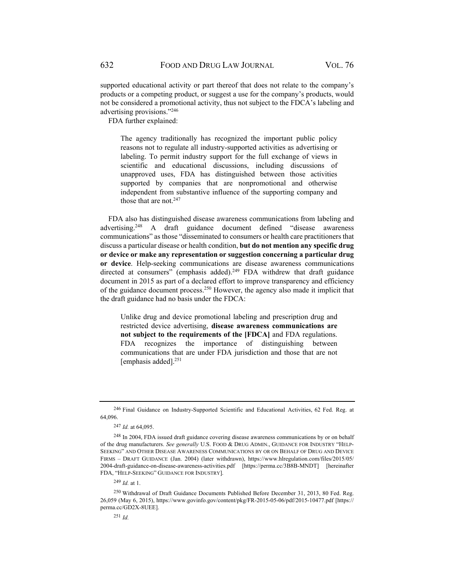supported educational activity or part thereof that does not relate to the company's products or a competing product, or suggest a use for the company's products, would not be considered a promotional activity, thus not subject to the FDCA's labeling and advertising provisions."246

FDA further explained:

The agency traditionally has recognized the important public policy reasons not to regulate all industry-supported activities as advertising or labeling. To permit industry support for the full exchange of views in scientific and educational discussions, including discussions of unapproved uses, FDA has distinguished between those activities supported by companies that are nonpromotional and otherwise independent from substantive influence of the supporting company and those that are not. $247$ 

FDA also has distinguished disease awareness communications from labeling and advertising.<sup>248</sup> A draft guidance document defined "disease awareness" communications" as those "disseminated to consumers or health care practitioners that discuss a particular disease or health condition, **but do not mention any specific drug or device or make any representation or suggestion concerning a particular drug or device**. Help-seeking communications are disease awareness communications directed at consumers" (emphasis added).<sup>249</sup> FDA withdrew that draft guidance document in 2015 as part of a declared effort to improve transparency and efficiency of the guidance document process.250 However, the agency also made it implicit that the draft guidance had no basis under the FDCA:

Unlike drug and device promotional labeling and prescription drug and restricted device advertising, **disease awareness communications are not subject to the requirements of the [FDCA]** and FDA regulations. FDA recognizes the importance of distinguishing between communications that are under FDA jurisdiction and those that are not [emphasis added]. $251$ 

<sup>246</sup> Final Guidance on Industry-Supported Scientific and Educational Activities, 62 Fed. Reg. at 64,096.

<sup>247</sup> *Id.* at 64,095.

<sup>&</sup>lt;sup>248</sup> In 2004, FDA issued draft guidance covering disease awareness communications by or on behalf of the drug manufacturers. *See generally* U.S. FOOD & DRUG ADMIN., GUIDANCE FOR INDUSTRY "HELP-SEEKING" AND OTHER DISEASE AWARENESS COMMUNICATIONS BY OR ON BEHALF OF DRUG AND DEVICE FIRMS – DRAFT GUIDANCE (Jan. 2004) (later withdrawn), https://www.hlregulation.com/files/2015/05/ 2004-draft-guidance-on-disease-awareness-activities.pdf [https://perma.cc/3B8B-MNDT] [hereinafter FDA, "HELP-SEEKING" GUIDANCE FOR INDUSTRY].

<sup>249</sup> *Id.* at 1.

<sup>250</sup> Withdrawal of Draft Guidance Documents Published Before December 31, 2013, 80 Fed. Reg. 26,059 (May 6, 2015), https://www.govinfo.gov/content/pkg/FR-2015-05-06/pdf/2015-10477.pdf [https:// perma.cc/GD2X-8UEE].

<sup>251</sup> *Id.*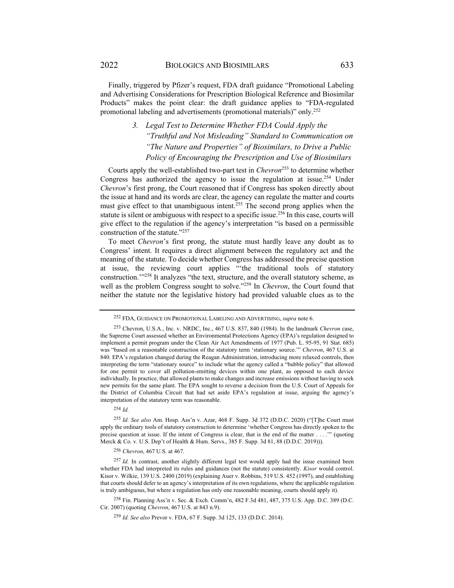Finally, triggered by Pfizer's request, FDA draft guidance "Promotional Labeling and Advertising Considerations for Prescription Biological Reference and Biosimilar Products" makes the point clear: the draft guidance applies to "FDA-regulated promotional labeling and advertisements (promotional materials)" only.252

## *3. Legal Test to Determine Whether FDA Could Apply the "Truthful and Not Misleading" Standard to Communication on "The Nature and Properties" of Biosimilars, to Drive a Public Policy of Encouraging the Prescription and Use of Biosimilars*

Courts apply the well-established two-part test in *Chevron*253 to determine whether Congress has authorized the agency to issue the regulation at issue.254 Under *Chevron*'s first prong, the Court reasoned that if Congress has spoken directly about the issue at hand and its words are clear, the agency can regulate the matter and courts must give effect to that unambiguous intent.255 The second prong applies when the statute is silent or ambiguous with respect to a specific issue.256 In this case, courts will give effect to the regulation if the agency's interpretation "is based on a permissible construction of the statute."257

To meet *Chevron*'s first prong, the statute must hardly leave any doubt as to Congress' intent. It requires a direct alignment between the regulatory act and the meaning of the statute. To decide whether Congress has addressed the precise question at issue, the reviewing court applies "'the traditional tools of statutory construction.'"258 It analyzes "the text, structure, and the overall statutory scheme, as well as the problem Congress sought to solve."259 In *Chevron*, the Court found that neither the statute nor the legislative history had provided valuable clues as to the

<sup>254</sup> *Id.*

<sup>255</sup> *Id. See also* Am. Hosp. Ass'n v. Azar, 468 F. Supp. 3d 372 (D.D.C. 2020) ("[T]he Court must apply the ordinary tools of statutory construction to determine 'whether Congress has directly spoken to the precise question at issue. If the intent of Congress is clear, that is the end of the matter . . . .'" (quoting Merck & Co. v. U.S. Dep't of Health & Hum. Servs., 385 F. Supp. 3d 81, 88 (D.D.C. 2019))).

<sup>256</sup> *Chevron*, 467 U.S. at 467.

<sup>252</sup> FDA, GUIDANCE ON PROMOTIONAL LABELING AND ADVERTISING, *supra* note 6.

<sup>253</sup> Chevron, U.S.A., Inc. v. NRDC, Inc., 467 U.S. 837, 840 (1984). In the landmark *Chevron* case, the Supreme Court assessed whether an Environmental Protections Agency (EPA)'s regulation designed to implement a permit program under the Clean Air Act Amendments of 1977 (Pub. L. 95-95, 91 Stat. 685) was "based on a reasonable construction of the statutory term 'stationary source.'" *Chevron*, 467 U.S. at 840. EPA's regulation changed during the Reagan Administration, introducing more relaxed controls, then interpreting the term "stationary source" to include what the agency called a "bubble policy" that allowed for one permit to cover all pollution-emitting devices within one plant, as opposed to each device individually. In practice, that allowed plants to make changes and increase emissions without having to seek new permits for the same plant. The EPA sought to reverse a decision from the U.S. Court of Appeals for the District of Columbia Circuit that had set aside EPA's regulation at issue, arguing the agency's interpretation of the statutory term was reasonable.

<sup>257</sup> *Id.* In contrast, another slightly different legal test would apply had the issue examined been whether FDA had interpreted its rules and guidances (not the statute) consistently. *Kisor* would control. Kisor v. Wilkie, 139 U.S. 2400 (2019) (explaining Auer v. Robbins, 519 U.S. 452 (1997), and establishing that courts should defer to an agency's interpretation of its own regulations, where the applicable regulation is truly ambiguous, but where a regulation has only one reasonable meaning, courts should apply it).

<sup>258</sup> Fin. Planning Ass'n v. Sec. & Exch. Comm'n, 482 F.3d 481, 487, 375 U.S. App. D.C. 389 (D.C. Cir. 2007) (quoting *Chevron*, 467 U.S. at 843 n.9).

<sup>259</sup> *Id. See also* Prevor v. FDA, 67 F. Supp. 3d 125, 133 (D.D.C. 2014).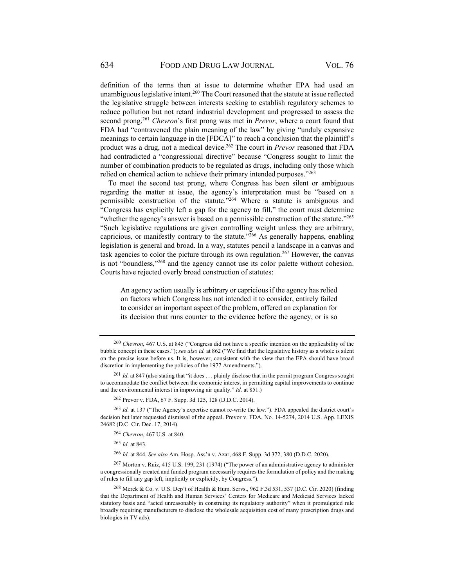definition of the terms then at issue to determine whether EPA had used an unambiguous legislative intent.<sup>260</sup> The Court reasoned that the statute at issue reflected the legislative struggle between interests seeking to establish regulatory schemes to reduce pollution but not retard industrial development and progressed to assess the second prong.261 *Chevron*'s first prong was met in *Prevor*, where a court found that FDA had "contravened the plain meaning of the law" by giving "unduly expansive meanings to certain language in the [FDCA]" to reach a conclusion that the plaintiff's product was a drug, not a medical device.262 The court in *Prevor* reasoned that FDA had contradicted a "congressional directive" because "Congress sought to limit the number of combination products to be regulated as drugs, including only those which relied on chemical action to achieve their primary intended purposes."263

To meet the second test prong, where Congress has been silent or ambiguous regarding the matter at issue, the agency's interpretation must be "based on a permissible construction of the statute."264 Where a statute is ambiguous and "Congress has explicitly left a gap for the agency to fill," the court must determine "whether the agency's answer is based on a permissible construction of the statute."<sup>265</sup> "Such legislative regulations are given controlling weight unless they are arbitrary, capricious, or manifestly contrary to the statute."266 As generally happens, enabling legislation is general and broad. In a way, statutes pencil a landscape in a canvas and task agencies to color the picture through its own regulation.267 However, the canvas is not "boundless,"268 and the agency cannot use its color palette without cohesion. Courts have rejected overly broad construction of statutes:

An agency action usually is arbitrary or capricious if the agency has relied on factors which Congress has not intended it to consider, entirely failed to consider an important aspect of the problem, offered an explanation for its decision that runs counter to the evidence before the agency, or is so

262 Prevor v. FDA, 67 F. Supp. 3d 125, 128 (D.D.C. 2014).

<sup>263</sup> *Id.* at 137 ("The Agency's expertise cannot re-write the law."). FDA appealed the district court's decision but later requested dismissal of the appeal. Prevor v. FDA, No. 14-5274, 2014 U.S. App. LEXIS 24682 (D.C. Cir. Dec. 17, 2014).

<sup>264</sup> *Chevron*, 467 U.S. at 840.

<sup>265</sup> *Id.* at 843.

<sup>266</sup> *Id.* at 844. *See also* Am. Hosp. Ass'n v. Azar, 468 F. Supp. 3d 372, 380 (D.D.C. 2020).

267 Morton v. Ruiz, 415 U.S. 199, 231 (1974) ("The power of an administrative agency to administer a congressionally created and funded program necessarily requires the formulation of policy and the making of rules to fill any gap left, implicitly or explicitly, by Congress.").

<sup>260</sup> *Chevron*, 467 U.S. at 845 ("Congress did not have a specific intention on the applicability of the bubble concept in these cases."); *see also id.* at 862 ("We find that the legislative history as a whole is silent on the precise issue before us. It is, however, consistent with the view that the EPA should have broad discretion in implementing the policies of the 1977 Amendments.").

<sup>&</sup>lt;sup>261</sup> *Id.* at 847 (also stating that "it does . . . plainly disclose that in the permit program Congress sought to accommodate the conflict between the economic interest in permitting capital improvements to continue and the environmental interest in improving air quality." *Id.* at 851.)

<sup>268</sup> Merck & Co. v. U.S. Dep't of Health & Hum. Servs., 962 F.3d 531, 537 (D.C. Cir. 2020) (finding that the Department of Health and Human Services' Centers for Medicare and Medicaid Services lacked statutory basis and "acted unreasonably in construing its regulatory authority" when it promulgated rule broadly requiring manufacturers to disclose the wholesale acquisition cost of many prescription drugs and biologics in TV ads).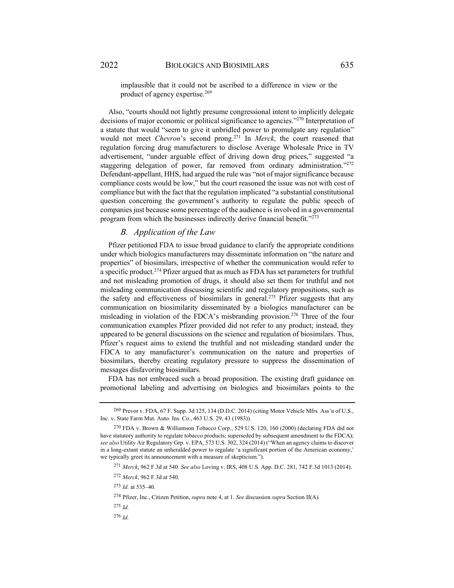implausible that it could not be ascribed to a difference in view or the product of agency expertise.269

Also, "courts should not lightly presume congressional intent to implicitly delegate decisions of major economic or political significance to agencies."270 Interpretation of a statute that would "seem to give it unbridled power to promulgate any regulation" would not meet *Chevron*'s second prong.271 In *Merck*, the court reasoned that regulation forcing drug manufacturers to disclose Average Wholesale Price in TV advertisement, "under arguable effect of driving down drug prices," suggested "a staggering delegation of power, far removed from ordinary administration."<sup>272</sup> Defendant-appellant, HHS, had argued the rule was "not of major significance because compliance costs would be low," but the court reasoned the issue was not with cost of compliance but with the fact that the regulation implicated "a substantial constitutional question concerning the government's authority to regulate the public speech of companies just because some percentage of the audience is involved in a governmental program from which the businesses indirectly derive financial benefit."273

## *B. Application of the Law*

Pfizer petitioned FDA to issue broad guidance to clarify the appropriate conditions under which biologics manufacturers may disseminate information on "the nature and properties" of biosimilars, irrespective of whether the communication would refer to a specific product.274 Pfizer argued that as much as FDA has set parameters for truthful and not misleading promotion of drugs, it should also set them for truthful and not misleading communication discussing scientific and regulatory propositions, such as the safety and effectiveness of biosimilars in general.<sup>275</sup> Pfizer suggests that any communication on biosimilarity disseminated by a biologics manufacturer can be misleading in violation of the FDCA's misbranding provision.<sup>276</sup> Three of the four communication examples Pfizer provided did not refer to any product; instead, they appeared to be general discussions on the science and regulation of biosimilars. Thus, Pfizer's request aims to extend the truthful and not misleading standard under the FDCA to any manufacturer's communication on the nature and properties of biosimilars, thereby creating regulatory pressure to suppress the dissemination of messages disfavoring biosimilars.

FDA has not embraced such a broad proposition. The existing draft guidance on promotional labeling and advertising on biologics and biosimilars points to the

<sup>269</sup>Prevor v. FDA, 67 F. Supp. 3d 125, 134 (D.D.C. 2014) (citing Motor Vehicle Mfrs. Ass'n of U.S., Inc. v. State Farm Mut. Auto. Ins. Co., 463 U.S. 29, 43 (1983)).

<sup>270</sup> FDA v. Brown & Williamson Tobacco Corp., 529 U.S. 120, 160 (2000) (declaring FDA did not have statutory authority to regulate tobacco products; superseded by subsequent amendment to the FDCA); *see also* Utility Air Regulatory Grp. v. EPA, 573 U.S. 302, 324 (2014) ("When an agency claims to discover in a long-extant statute an unheralded power to regulate 'a significant portion of the American economy,' we typically greet its announcement with a measure of skepticism.").

<sup>271</sup> *Merck*, 962 F.3d at 540. *See also* Loving v. IRS, 408 U.S. App. D.C. 281, 742 F.3d 1013 (2014).

<sup>272</sup> *Merck*, 962 F.3d at 540.

<sup>273</sup> *Id.* at 535–40.

<sup>274</sup> Pfizer, Inc., Citizen Petition, *supra* note 4, at 1. *See* discussion *supra* Section II(A).

<sup>275</sup> *Id.*

<sup>276</sup> *Id.*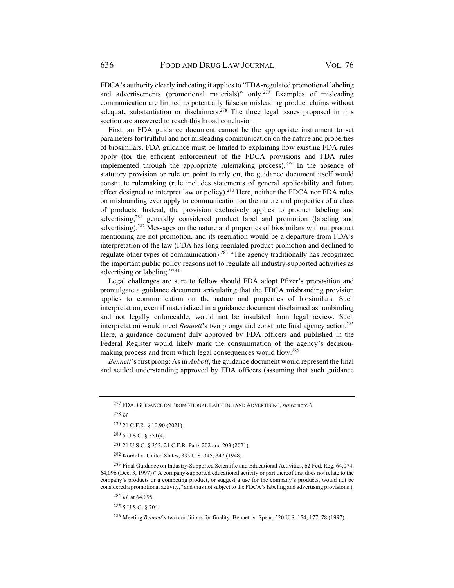FDCA's authority clearly indicating it applies to "FDA-regulated promotional labeling and advertisements (promotional materials)" only.277 Examples of misleading communication are limited to potentially false or misleading product claims without adequate substantiation or disclaimers.<sup>278</sup> The three legal issues proposed in this section are answered to reach this broad conclusion.

First, an FDA guidance document cannot be the appropriate instrument to set parameters for truthful and not misleading communication on the nature and properties of biosimilars. FDA guidance must be limited to explaining how existing FDA rules apply (for the efficient enforcement of the FDCA provisions and FDA rules implemented through the appropriate rulemaking process).<sup>279</sup> In the absence of statutory provision or rule on point to rely on, the guidance document itself would constitute rulemaking (rule includes statements of general applicability and future effect designed to interpret law or policy).<sup>280</sup> Here, neither the FDCA nor FDA rules on misbranding ever apply to communication on the nature and properties of a class of products. Instead, the provision exclusively applies to product labeling and advertising,281 generally considered product label and promotion (labeling and advertising).282 Messages on the nature and properties of biosimilars without product mentioning are not promotion, and its regulation would be a departure from FDA's interpretation of the law (FDA has long regulated product promotion and declined to regulate other types of communication).283 "The agency traditionally has recognized the important public policy reasons not to regulate all industry-supported activities as advertising or labeling."284

Legal challenges are sure to follow should FDA adopt Pfizer's proposition and promulgate a guidance document articulating that the FDCA misbranding provision applies to communication on the nature and properties of biosimilars. Such interpretation, even if materialized in a guidance document disclaimed as nonbinding and not legally enforceable, would not be insulated from legal review. Such interpretation would meet *Bennett*'s two prongs and constitute final agency action.285 Here, a guidance document duly approved by FDA officers and published in the Federal Register would likely mark the consummation of the agency's decisionmaking process and from which legal consequences would flow.286

*Bennett*'s first prong: As in *Abbott*, the guidance document would represent the final and settled understanding approved by FDA officers (assuming that such guidance

<sup>278</sup> *Id.*

281 21 U.S.C. § 352; 21 C.F.R. Parts 202 and 203 (2021).

282 Kordel v. United States, 335 U.S. 345, 347 (1948).

<sup>283</sup> Final Guidance on Industry-Supported Scientific and Educational Activities, 62 Fed. Reg. 64,074, 64,096 (Dec. 3, 1997) ("A company-supported educational activity or part thereof that does not relate to the company's products or a competing product, or suggest a use for the company's products, would not be considered a promotional activity," and thus not subject to the FDCA's labeling and advertising provisions.).

<sup>284</sup> *Id.* at 64,095.

<sup>277</sup> FDA, GUIDANCE ON PROMOTIONAL LABELING AND ADVERTISING, *supra* note 6.

<sup>279 21</sup> C.F.R. § 10.90 (2021).

<sup>280 5</sup> U.S.C. § 551(4).

<sup>285 5</sup> U.S.C. § 704.

<sup>286</sup> Meeting *Bennett*'s two conditions for finality. Bennett v. Spear, 520 U.S. 154, 177–78 (1997).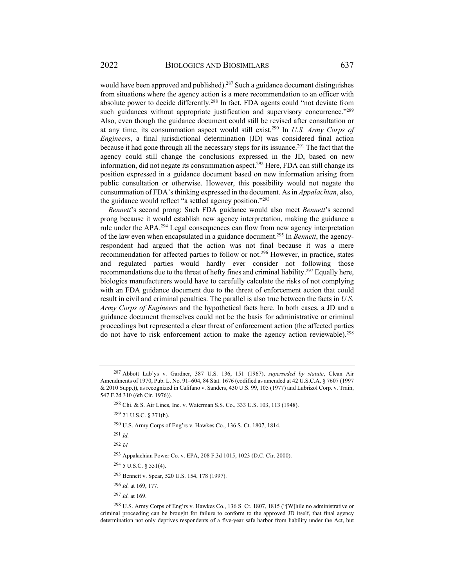would have been approved and published).<sup>287</sup> Such a guidance document distinguishes from situations where the agency action is a mere recommendation to an officer with absolute power to decide differently.288 In fact, FDA agents could "not deviate from such guidances without appropriate justification and supervisory concurrence."<sup>289</sup> Also, even though the guidance document could still be revised after consultation or at any time, its consummation aspect would still exist.290 In *U.S. Army Corps of Engineers*, a final jurisdictional determination (JD) was considered final action because it had gone through all the necessary steps for its issuance.<sup>291</sup> The fact that the agency could still change the conclusions expressed in the JD, based on new information, did not negate its consummation aspect.<sup>292</sup> Here, FDA can still change its position expressed in a guidance document based on new information arising from public consultation or otherwise. However, this possibility would not negate the consummation of FDA's thinking expressed in the document. As in *Appalachian*, also, the guidance would reflect "a settled agency position."293

*Bennett*'s second prong: Such FDA guidance would also meet *Bennett*'s second prong because it would establish new agency interpretation, making the guidance a rule under the APA.294 Legal consequences can flow from new agency interpretation of the law even when encapsulated in a guidance document.295 In *Bennett*, the agencyrespondent had argued that the action was not final because it was a mere recommendation for affected parties to follow or not.296 However, in practice, states and regulated parties would hardly ever consider not following those recommendations due to the threat of hefty fines and criminal liability.297 Equally here, biologics manufacturers would have to carefully calculate the risks of not complying with an FDA guidance document due to the threat of enforcement action that could result in civil and criminal penalties. The parallel is also true between the facts in *U.S. Army Corps of Engineers* and the hypothetical facts here. In both cases, a JD and a guidance document themselves could not be the basis for administrative or criminal proceedings but represented a clear threat of enforcement action (the affected parties do not have to risk enforcement action to make the agency action reviewable).<sup>298</sup>

<sup>291</sup> *Id.*

<sup>292</sup> *Id.*

- 294 5 U.S.C. § 551(4).
- 295 Bennett v. Spear, 520 U.S. 154, 178 (1997).
- <sup>296</sup> *Id.* at 169, 177.

<sup>297</sup> *Id.* at 169.

298 U.S. Army Corps of Eng'rs v. Hawkes Co., 136 S. Ct. 1807, 1815 ("[W]hile no administrative or criminal proceeding can be brought for failure to conform to the approved JD itself, that final agency determination not only deprives respondents of a five-year safe harbor from liability under the Act, but

<sup>287</sup> Abbott Lab'ys v. Gardner, 387 U.S. 136, 151 (1967), *superseded by statute*, Clean Air Amendments of 1970, Pub. L. No. 91–604, 84 Stat. 1676 (codified as amended at 42 U.S.C.A. § 7607 (1997 & 2010 Supp.)), as recognized in Califano v. Sanders, 430 U.S. 99, 105 (1977) and Lubrizol Corp. v. Train, 547 F.2d 310 (6th Cir. 1976)).

<sup>288</sup> Chi. & S. Air Lines, Inc. v. Waterman S.S. Co., 333 U.S. 103, 113 (1948).

<sup>289 21</sup> U.S.C. § 371(h).

<sup>290</sup> U.S. Army Corps of Eng'rs v. Hawkes Co., 136 S. Ct. 1807, 1814.

<sup>293</sup> Appalachian Power Co. v. EPA, 208 F.3d 1015, 1023 (D.C. Cir. 2000).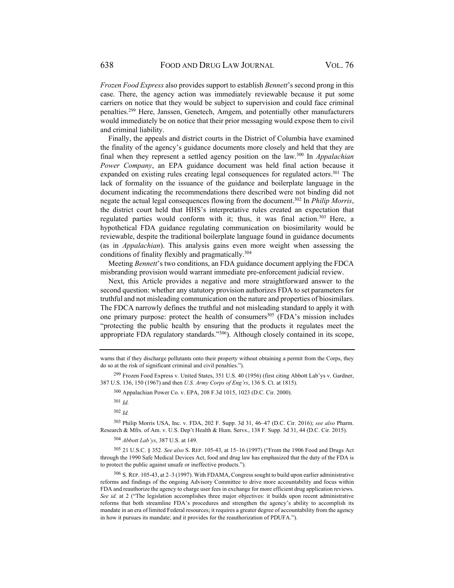*Frozen Food Express* also provides support to establish *Bennett*'s second prong in this case. There, the agency action was immediately reviewable because it put some carriers on notice that they would be subject to supervision and could face criminal penalties.299 Here, Janssen, Genetech, Amgem, and potentially other manufacturers would immediately be on notice that their prior messaging would expose them to civil and criminal liability.

Finally, the appeals and district courts in the District of Columbia have examined the finality of the agency's guidance documents more closely and held that they are final when they represent a settled agency position on the law.300 In *Appalachian Power Company*, an EPA guidance document was held final action because it expanded on existing rules creating legal consequences for regulated actors.<sup>301</sup> The lack of formality on the issuance of the guidance and boilerplate language in the document indicating the recommendations there described were not binding did not negate the actual legal consequences flowing from the document.302 In *Philip Morris*, the district court held that HHS's interpretative rules created an expectation that regulated parties would conform with it; thus, it was final action.<sup>303</sup> Here, a hypothetical FDA guidance regulating communication on biosimilarity would be reviewable, despite the traditional boilerplate language found in guidance documents (as in *Appalachian*). This analysis gains even more weight when assessing the conditions of finality flexibly and pragmatically.<sup>304</sup>

Meeting *Bennett*'s two conditions, an FDA guidance document applying the FDCA misbranding provision would warrant immediate pre-enforcement judicial review.

Next, this Article provides a negative and more straightforward answer to the second question: whether any statutory provision authorizes FDA to set parameters for truthful and not misleading communication on the nature and properties of biosimilars. The FDCA narrowly defines the truthful and not misleading standard to apply it with one primary purpose: protect the health of consumers $305$  (FDA's mission includes "protecting the public health by ensuring that the products it regulates meet the appropriate FDA regulatory standards."306). Although closely contained in its scope,

299 Frozen Food Express v. United States, 351 U.S. 40 (1956) (first citing Abbott Lab'ys v. Gardner, 387 U.S. 136, 150 (1967) and then *U.S. Army Corps of Eng'rs*, 136 S. Ct. at 1815).

300 Appalachian Power Co. v. EPA, 208 F.3d 1015, 1023 (D.C. Cir. 2000).

<sup>301</sup> *Id.*

<sup>302</sup> *Id.*

303 Philip Morris USA, Inc. v. FDA, 202 F. Supp. 3d 31, 46–47 (D.C. Cir. 2016); *see also* Pharm. Research & Mfrs. of Am. v. U.S. Dep't Health & Hum. Servs., 138 F. Supp. 3d 31, 44 (D.C. Cir. 2015).

<sup>304</sup> *Abbott Lab'ys*, 387 U.S. at 149.

305 21 U.S.C. § 352. *See also* S. REP. 105-43, at 15–16 (1997) ("From the 1906 Food and Drugs Act through the 1990 Safe Medical Devices Act, food and drug law has emphasized that the duty of the FDA is to protect the public against unsafe or ineffective products.").

 $306$  S. REP. 105-43, at 2–3 (1997). With FDAMA, Congress sought to build upon earlier administrative reforms and findings of the ongoing Advisory Committee to drive more accountability and focus within FDA and reauthorize the agency to charge user fees in exchange for more efficient drug application reviews. *See id.* at 2 ("The legislation accomplishes three major objectives: it builds upon recent administrative reforms that both streamline FDA's procedures and strengthen the agency's ability to accomplish its mandate in an era of limited Federal resources; it requires a greater degree of accountability from the agency in how it pursues its mandate; and it provides for the reauthorization of PDUFA.").

warns that if they discharge pollutants onto their property without obtaining a permit from the Corps, they do so at the risk of significant criminal and civil penalties.").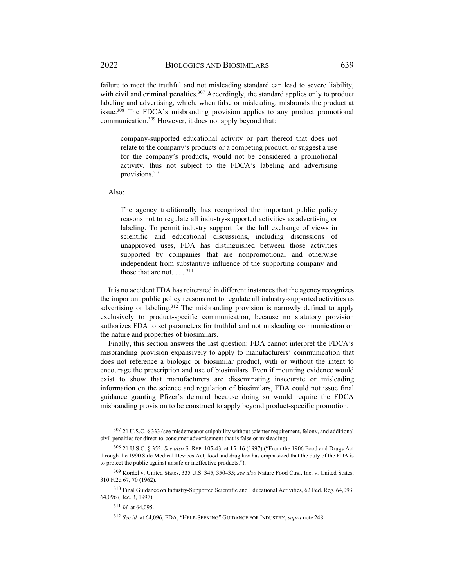failure to meet the truthful and not misleading standard can lead to severe liability, with civil and criminal penalties.<sup>307</sup> Accordingly, the standard applies only to product labeling and advertising, which, when false or misleading, misbrands the product at issue.308 The FDCA's misbranding provision applies to any product promotional communication.309 However, it does not apply beyond that:

company-supported educational activity or part thereof that does not relate to the company's products or a competing product, or suggest a use for the company's products, would not be considered a promotional activity, thus not subject to the FDCA's labeling and advertising provisions.310

Also:

The agency traditionally has recognized the important public policy reasons not to regulate all industry-supported activities as advertising or labeling. To permit industry support for the full exchange of views in scientific and educational discussions, including discussions of unapproved uses, FDA has distinguished between those activities supported by companies that are nonpromotional and otherwise independent from substantive influence of the supporting company and those that are not.  $\ldots$ <sup>311</sup>

It is no accident FDA has reiterated in different instances that the agency recognizes the important public policy reasons not to regulate all industry-supported activities as advertising or labeling.<sup>312</sup> The misbranding provision is narrowly defined to apply exclusively to product-specific communication, because no statutory provision authorizes FDA to set parameters for truthful and not misleading communication on the nature and properties of biosimilars.

Finally, this section answers the last question: FDA cannot interpret the FDCA's misbranding provision expansively to apply to manufacturers' communication that does not reference a biologic or biosimilar product, with or without the intent to encourage the prescription and use of biosimilars. Even if mounting evidence would exist to show that manufacturers are disseminating inaccurate or misleading information on the science and regulation of biosimilars, FDA could not issue final guidance granting Pfizer's demand because doing so would require the FDCA misbranding provision to be construed to apply beyond product-specific promotion.

<sup>307 21</sup> U.S.C. § 333 (see misdemeanor culpability without scienter requirement, felony, and additional civil penalties for direct-to-consumer advertisement that is false or misleading).

<sup>308 21</sup> U.S.C. § 352. *See also* S. REP. 105-43, at 15–16 (1997) ("From the 1906 Food and Drugs Act through the 1990 Safe Medical Devices Act, food and drug law has emphasized that the duty of the FDA is to protect the public against unsafe or ineffective products.").

<sup>309</sup> Kordel v. United States, 335 U.S. 345, 350–35; *see also* Nature Food Ctrs., Inc. v. United States, 310 F.2d 67, 70 (1962).

<sup>310</sup> Final Guidance on Industry-Supported Scientific and Educational Activities, 62 Fed. Reg. 64,093, 64,096 (Dec. 3, 1997).

<sup>311</sup> *Id.* at 64,095.

<sup>312</sup> *See id.* at 64,096; FDA, "HELP-SEEKING" GUIDANCE FOR INDUSTRY, *supra* note 248.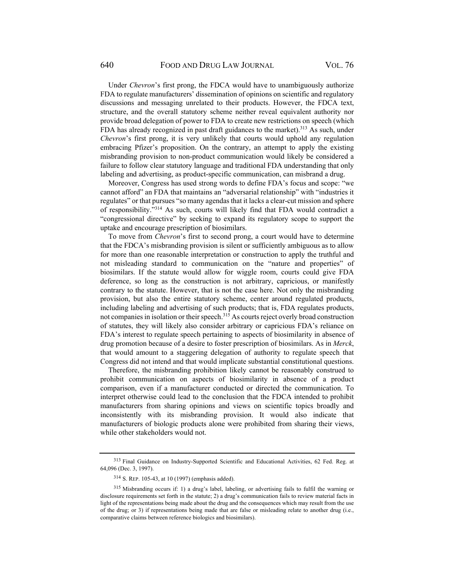Under *Chevron*'s first prong, the FDCA would have to unambiguously authorize FDA to regulate manufacturers' dissemination of opinions on scientific and regulatory discussions and messaging unrelated to their products. However, the FDCA text, structure, and the overall statutory scheme neither reveal equivalent authority nor provide broad delegation of power to FDA to create new restrictions on speech (which FDA has already recognized in past draft guidances to the market).<sup>313</sup> As such, under *Chevron*'s first prong, it is very unlikely that courts would uphold any regulation embracing Pfizer's proposition. On the contrary, an attempt to apply the existing misbranding provision to non-product communication would likely be considered a failure to follow clear statutory language and traditional FDA understanding that only labeling and advertising, as product-specific communication, can misbrand a drug.

Moreover, Congress has used strong words to define FDA's focus and scope: "we cannot afford" an FDA that maintains an "adversarial relationship" with "industries it regulates" or that pursues "so many agendas that it lacks a clear-cut mission and sphere of responsibility."314 As such, courts will likely find that FDA would contradict a "congressional directive" by seeking to expand its regulatory scope to support the uptake and encourage prescription of biosimilars.

To move from *Chevron*'s first to second prong, a court would have to determine that the FDCA's misbranding provision is silent or sufficiently ambiguous as to allow for more than one reasonable interpretation or construction to apply the truthful and not misleading standard to communication on the "nature and properties" of biosimilars. If the statute would allow for wiggle room, courts could give FDA deference, so long as the construction is not arbitrary, capricious, or manifestly contrary to the statute. However, that is not the case here. Not only the misbranding provision, but also the entire statutory scheme, center around regulated products, including labeling and advertising of such products; that is, FDA regulates products, not companies in isolation or their speech.<sup>315</sup> As courts reject overly broad construction of statutes, they will likely also consider arbitrary or capricious FDA's reliance on FDA's interest to regulate speech pertaining to aspects of biosimilarity in absence of drug promotion because of a desire to foster prescription of biosimilars. As in *Merck*, that would amount to a staggering delegation of authority to regulate speech that Congress did not intend and that would implicate substantial constitutional questions.

Therefore, the misbranding prohibition likely cannot be reasonably construed to prohibit communication on aspects of biosimilarity in absence of a product comparison, even if a manufacturer conducted or directed the communication. To interpret otherwise could lead to the conclusion that the FDCA intended to prohibit manufacturers from sharing opinions and views on scientific topics broadly and inconsistently with its misbranding provision. It would also indicate that manufacturers of biologic products alone were prohibited from sharing their views, while other stakeholders would not.

<sup>313</sup> Final Guidance on Industry-Supported Scientific and Educational Activities, 62 Fed. Reg. at 64,096 (Dec. 3, 1997).

<sup>314</sup> S. REP. 105-43, at 10 (1997) (emphasis added).

<sup>315</sup> Misbranding occurs if: 1) a drug's label, labeling, or advertising fails to fulfil the warning or disclosure requirements set forth in the statute; 2) a drug's communication fails to review material facts in light of the representations being made about the drug and the consequences which may result from the use of the drug; or 3) if representations being made that are false or misleading relate to another drug (i.e., comparative claims between reference biologics and biosimilars).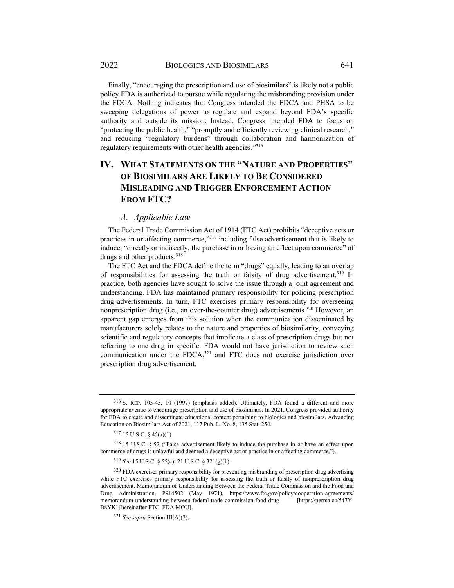Finally, "encouraging the prescription and use of biosimilars" is likely not a public policy FDA is authorized to pursue while regulating the misbranding provision under the FDCA. Nothing indicates that Congress intended the FDCA and PHSA to be sweeping delegations of power to regulate and expand beyond FDA's specific authority and outside its mission. Instead, Congress intended FDA to focus on "protecting the public health," "promptly and efficiently reviewing clinical research," and reducing "regulatory burdens" through collaboration and harmonization of regulatory requirements with other health agencies."316

## **IV. WHAT STATEMENTS ON THE "NATURE AND PROPERTIES" OF BIOSIMILARS ARE LIKELY TO BE CONSIDERED MISLEADING AND TRIGGER ENFORCEMENT ACTION FROM FTC?**

#### *A. Applicable Law*

The Federal Trade Commission Act of 1914 (FTC Act) prohibits "deceptive acts or practices in or affecting commerce,"317 including false advertisement that is likely to induce, "directly or indirectly, the purchase in or having an effect upon commerce" of drugs and other products.<sup>318</sup>

The FTC Act and the FDCA define the term "drugs" equally, leading to an overlap of responsibilities for assessing the truth or falsity of drug advertisement.<sup>319</sup> In practice, both agencies have sought to solve the issue through a joint agreement and understanding. FDA has maintained primary responsibility for policing prescription drug advertisements. In turn, FTC exercises primary responsibility for overseeing nonprescription drug (i.e., an over-the-counter drug) advertisements.<sup>320</sup> However, an apparent gap emerges from this solution when the communication disseminated by manufacturers solely relates to the nature and properties of biosimilarity, conveying scientific and regulatory concepts that implicate a class of prescription drugs but not referring to one drug in specific. FDA would not have jurisdiction to review such communication under the FDCA, $321$  and FTC does not exercise jurisdiction over prescription drug advertisement.

<sup>316</sup> S. REP. 105-43, 10 (1997) (emphasis added). Ultimately, FDA found a different and more appropriate avenue to encourage prescription and use of biosimilars. In 2021, Congress provided authority for FDA to create and disseminate educational content pertaining to biologics and biosimilars. Advancing Education on Biosimilars Act of 2021, 117 Pub. L. No. 8, 135 Stat. 254.

<sup>317 15</sup> U.S.C. § 45(a)(1).

<sup>318 15</sup> U.S.C. § 52 ("False advertisement likely to induce the purchase in or have an effect upon commerce of drugs is unlawful and deemed a deceptive act or practice in or affecting commerce.").

<sup>319</sup> *See* 15 U.S.C. § 55(c); 21 U.S.C. § 321(g)(1).

<sup>&</sup>lt;sup>320</sup> FDA exercises primary responsibility for preventing misbranding of prescription drug advertising while FTC exercises primary responsibility for assessing the truth or falsity of nonprescription drug advertisement. Memorandum of Understanding Between the Federal Trade Commission and the Food and Drug Administration, P914502 (May 1971), https://www.ftc.gov/policy/cooperation-agreements/ memorandum-understanding-between-federal-trade-commission-food-drug [https://perma.cc/547Y-B8YK] [hereinafter FTC–FDA MOU].

<sup>321</sup> *See supra* Section III(A)(2).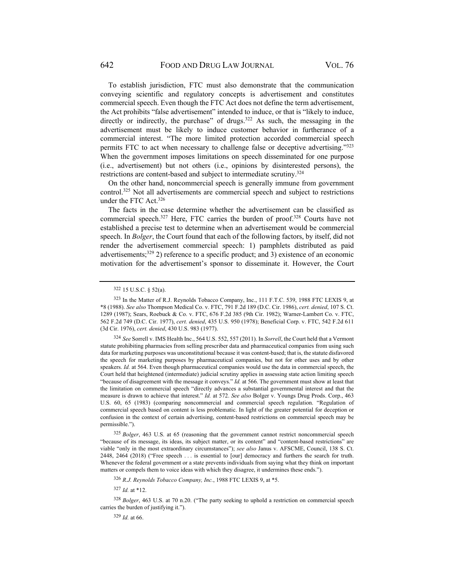To establish jurisdiction, FTC must also demonstrate that the communication conveying scientific and regulatory concepts is advertisement and constitutes commercial speech. Even though the FTC Act does not define the term advertisement, the Act prohibits "false advertisement" intended to induce, or that is "likely to induce, directly or indirectly, the purchase" of drugs.<sup>322</sup> As such, the messaging in the advertisement must be likely to induce customer behavior in furtherance of a commercial interest. "The more limited protection accorded commercial speech permits FTC to act when necessary to challenge false or deceptive advertising."323 When the government imposes limitations on speech disseminated for one purpose (i.e., advertisement) but not others (i.e., opinions by disinterested persons), the restrictions are content-based and subject to intermediate scrutiny.324

On the other hand, noncommercial speech is generally immune from government control.325 Not all advertisements are commercial speech and subject to restrictions under the FTC Act.326

The facts in the case determine whether the advertisement can be classified as commercial speech.327 Here, FTC carries the burden of proof.328 Courts have not established a precise test to determine when an advertisement would be commercial speech. In *Bolger*, the Court found that each of the following factors, by itself, did not render the advertisement commercial speech: 1) pamphlets distributed as paid advertisements;<sup>329</sup> 2) reference to a specific product; and 3) existence of an economic motivation for the advertisement's sponsor to disseminate it. However, the Court

<sup>326</sup> *R.J. Reynolds Tobacco Company, Inc.*, 1988 FTC LEXIS 9, at \*5.

<sup>327</sup> *Id.* at \*12.

<sup>328</sup> *Bolger*, 463 U.S. at 70 n.20. ("The party seeking to uphold a restriction on commercial speech carries the burden of justifying it.").

<sup>329</sup> *Id.* at 66.

<sup>322 15</sup> U.S.C. § 52(a).

<sup>323</sup> In the Matter of R.J. Reynolds Tobacco Company, Inc., 111 F.T.C. 539, 1988 FTC LEXIS 9, at \*8 (1988). *See also* Thompson Medical Co. v. FTC, 791 F.2d 189 (D.C. Cir. 1986), *cert. denied*, 107 S. Ct. 1289 (1987); Sears, Roebuck & Co. v. FTC, 676 F.2d 385 (9th Cir. 1982); Warner-Lambert Co. v. FTC, 562 F.2d 749 (D.C. Cir. 1977), *cert. denied*, 435 U.S. 950 (1978); Beneficial Corp. v. FTC, 542 F.2d 611 (3d Cir. 1976), *cert. denied*, 430 U.S. 983 (1977).

<sup>324</sup> *See* Sorrell v. IMS Health Inc., 564 U.S. 552, 557 (2011). In *Sorrell*, the Court held that a Vermont statute prohibiting pharmacies from selling prescriber data and pharmaceutical companies from using such data for marketing purposes was unconstitutional because it was content-based; that is, the statute disfavored the speech for marketing purposes by pharmaceutical companies, but not for other uses and by other speakers. *Id.* at 564. Even though pharmaceutical companies would use the data in commercial speech, the Court held that heightened (intermediate) judicial scrutiny applies in assessing state action limiting speech "because of disagreement with the message it conveys." *Id.* at 566. The government must show at least that the limitation on commercial speech "directly advances a substantial governmental interest and that the measure is drawn to achieve that interest." *Id.* at 572. *See also* Bolger v. Youngs Drug Prods. Corp., 463 U.S. 60, 65 (1983) (comparing noncommercial and commercial speech regulation. "Regulation of commercial speech based on content is less problematic. In light of the greater potential for deception or confusion in the context of certain advertising, content-based restrictions on commercial speech may be permissible.").

<sup>325</sup> *Bolger*, 463 U.S. at 65 (reasoning that the government cannot restrict noncommercial speech "because of its message, its ideas, its subject matter, or its content" and "content-based restrictions" are viable "only in the most extraordinary circumstances"); *see also* Janus v. AFSCME, Council, 138 S. Ct. 2448, 2464 (2018) ("Free speech . . . is essential to [our] democracy and furthers the search for truth. Whenever the federal government or a state prevents individuals from saying what they think on important matters or compels them to voice ideas with which they disagree, it undermines these ends.").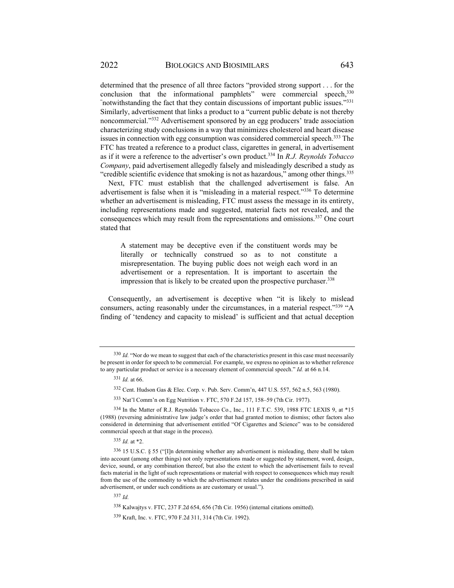determined that the presence of all three factors "provided strong support . . . for the conclusion that the informational pamphlets" were commercial speech, 330 "notwithstanding the fact that they contain discussions of important public issues."<sup>331</sup> Similarly, advertisement that links a product to a "current public debate is not thereby noncommercial."332 Advertisement sponsored by an egg producers' trade association characterizing study conclusions in a way that minimizes cholesterol and heart disease issues in connection with egg consumption was considered commercial speech.<sup>333</sup> The FTC has treated a reference to a product class, cigarettes in general, in advertisement as if it were a reference to the advertiser's own product.334 In *R.J. Reynolds Tobacco Company*, paid advertisement allegedly falsely and misleadingly described a study as "credible scientific evidence that smoking is not as hazardous," among other things. $335$ 

Next, FTC must establish that the challenged advertisement is false. An advertisement is false when it is "misleading in a material respect."<sup>336</sup> To determine whether an advertisement is misleading, FTC must assess the message in its entirety, including representations made and suggested, material facts not revealed, and the consequences which may result from the representations and omissions.337 One court stated that

A statement may be deceptive even if the constituent words may be literally or technically construed so as to not constitute a misrepresentation. The buying public does not weigh each word in an advertisement or a representation. It is important to ascertain the impression that is likely to be created upon the prospective purchaser.<sup>338</sup>

Consequently, an advertisement is deceptive when "it is likely to mislead consumers, acting reasonably under the circumstances, in a material respect."<sup>339</sup> "A finding of 'tendency and capacity to mislead' is sufficient and that actual deception

333 Nat'l Comm'n on Egg Nutrition v. FTC, 570 F.2d 157, 158–59 (7th Cir. 1977).

<sup>337</sup> *Id.*

<sup>&</sup>lt;sup>330</sup> Id. "Nor do we mean to suggest that each of the characteristics present in this case must necessarily be present in order for speech to be commercial. For example, we express no opinion as to whether reference to any particular product or service is a necessary element of commercial speech." *Id.* at 66 n.14.

<sup>331</sup> *Id.* at 66.

<sup>332</sup> Cent. Hudson Gas & Elec. Corp. v. Pub. Serv. Comm'n, 447 U.S. 557, 562 n.5, 563 (1980).

<sup>334</sup> In the Matter of R.J. Reynolds Tobacco Co., Inc., 111 F.T.C. 539, 1988 FTC LEXIS 9, at \*15 (1988) (reversing administrative law judge's order that had granted motion to dismiss; other factors also considered in determining that advertisement entitled "Of Cigarettes and Science" was to be considered commercial speech at that stage in the process).

<sup>335</sup> *Id.* at \*2.

<sup>336 15</sup> U.S.C. § 55 ("[I]n determining whether any advertisement is misleading, there shall be taken into account (among other things) not only representations made or suggested by statement, word, design, device, sound, or any combination thereof, but also the extent to which the advertisement fails to reveal facts material in the light of such representations or material with respect to consequences which may result from the use of the commodity to which the advertisement relates under the conditions prescribed in said advertisement, or under such conditions as are customary or usual.").

<sup>338</sup> Kalwajtys v. FTC, 237 F.2d 654, 656 (7th Cir. 1956) (internal citations omitted).

<sup>339</sup> Kraft, Inc. v. FTC, 970 F.2d 311, 314 (7th Cir. 1992).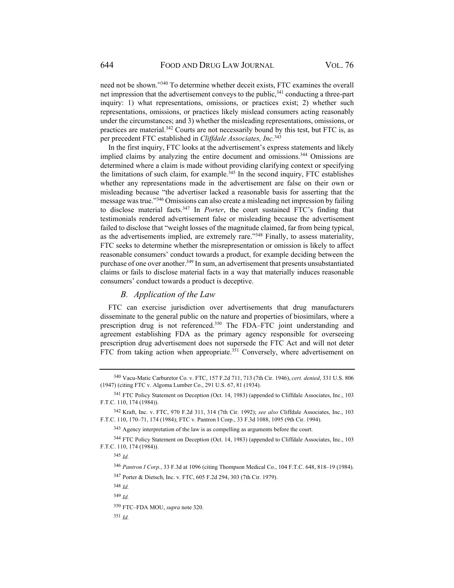need not be shown."340 To determine whether deceit exists, FTC examines the overall net impression that the advertisement conveys to the public, $341$  conducting a three-part inquiry: 1) what representations, omissions, or practices exist; 2) whether such representations, omissions, or practices likely mislead consumers acting reasonably under the circumstances; and 3) whether the misleading representations, omissions, or practices are material.<sup>342</sup> Courts are not necessarily bound by this test, but FTC is, as per precedent FTC established in *Cliffdale Associates, Inc.*<sup>343</sup>

In the first inquiry, FTC looks at the advertisement's express statements and likely implied claims by analyzing the entire document and omissions.<sup>344</sup> Omissions are determined where a claim is made without providing clarifying context or specifying the limitations of such claim, for example.<sup>345</sup> In the second inquiry, FTC establishes whether any representations made in the advertisement are false on their own or misleading because "the advertiser lacked a reasonable basis for asserting that the message was true."346 Omissions can also create a misleading net impression by failing to disclose material facts.347 In *Porter*, the court sustained FTC's finding that testimonials rendered advertisement false or misleading because the advertisement failed to disclose that "weight losses of the magnitude claimed, far from being typical, as the advertisements implied, are extremely rare."348 Finally, to assess materiality, FTC seeks to determine whether the misrepresentation or omission is likely to affect reasonable consumers' conduct towards a product, for example deciding between the purchase of one over another.<sup>349</sup> In sum, an advertisement that presents unsubstantiated claims or fails to disclose material facts in a way that materially induces reasonable consumers' conduct towards a product is deceptive.

## *B. Application of the Law*

FTC can exercise jurisdiction over advertisements that drug manufacturers disseminate to the general public on the nature and properties of biosimilars, where a prescription drug is not referenced.<sup>350</sup> The FDA–FTC joint understanding and agreement establishing FDA as the primary agency responsible for overseeing prescription drug advertisement does not supersede the FTC Act and will not deter FTC from taking action when appropriate.<sup>351</sup> Conversely, where advertisement on

347 Porter & Dietsch, Inc. v. FTC, 605 F.2d 294, 303 (7th Cir. 1979).

<sup>340</sup> Vacu-Matic Carburetor Co. v. FTC, 157 F.2d 711, 713 (7th Cir. 1946), *cert. denied*, 331 U.S. 806 (1947) (citing FTC v. Algoma Lumber Co., 291 U.S. 67, 81 (1934).

<sup>341</sup> FTC Policy Statement on Deception (Oct. 14, 1983) (appended to Cliffdale Associates, Inc., 103 F.T.C. 110, 174 (1984)).

<sup>342</sup> Kraft, Inc. v. FTC, 970 F.2d 311, 314 (7th Cir. 1992); *see also* Cliffdale Associates, Inc., 103 F.T.C. 110, 170–71, 174 (1984); FTC v. Pantron I Corp., 33 F.3d 1088, 1095 (9th Cir. 1994).

<sup>343</sup> Agency interpretation of the law is as compelling as arguments before the court.

<sup>344</sup> FTC Policy Statement on Deception (Oct. 14, 1983) (appended to Cliffdale Associates, Inc., 103 F.T.C. 110, 174 (1984)).

<sup>345</sup> *Id.*

<sup>346</sup> *Pantron I Corp.*, 33 F.3d at 1096 (citing Thompson Medical Co., 104 F.T.C. 648, 818–19 (1984).

<sup>348</sup> *Id.*

<sup>349</sup> *Id.*

<sup>350</sup> FTC–FDA MOU, *supra* note 320.

<sup>351</sup> *Id.*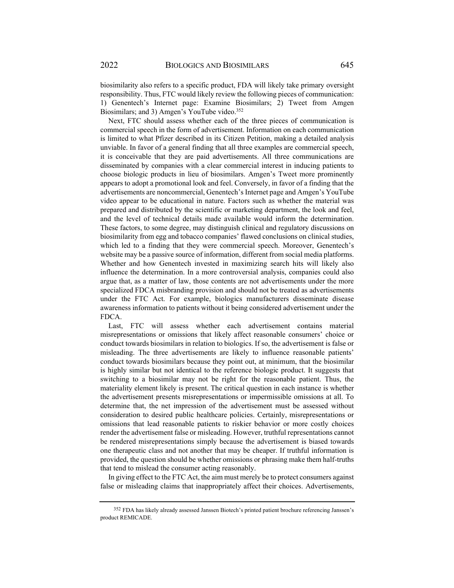biosimilarity also refers to a specific product, FDA will likely take primary oversight responsibility. Thus, FTC would likely review the following pieces of communication: 1) Genentech's Internet page: Examine Biosimilars; 2) Tweet from Amgen Biosimilars; and 3) Amgen's YouTube video.<sup>352</sup>

Next, FTC should assess whether each of the three pieces of communication is commercial speech in the form of advertisement. Information on each communication is limited to what Pfizer described in its Citizen Petition, making a detailed analysis unviable. In favor of a general finding that all three examples are commercial speech, it is conceivable that they are paid advertisements. All three communications are disseminated by companies with a clear commercial interest in inducing patients to choose biologic products in lieu of biosimilars. Amgen's Tweet more prominently appears to adopt a promotional look and feel. Conversely, in favor of a finding that the advertisements are noncommercial, Genentech's Internet page and Amgen's YouTube video appear to be educational in nature. Factors such as whether the material was prepared and distributed by the scientific or marketing department, the look and feel, and the level of technical details made available would inform the determination. These factors, to some degree, may distinguish clinical and regulatory discussions on biosimilarity from egg and tobacco companies' flawed conclusions on clinical studies, which led to a finding that they were commercial speech. Moreover, Genentech's website may be a passive source of information, different from social media platforms. Whether and how Genentech invested in maximizing search hits will likely also influence the determination. In a more controversial analysis, companies could also argue that, as a matter of law, those contents are not advertisements under the more specialized FDCA misbranding provision and should not be treated as advertisements under the FTC Act. For example, biologics manufacturers disseminate disease awareness information to patients without it being considered advertisement under the FDCA.

Last, FTC will assess whether each advertisement contains material misrepresentations or omissions that likely affect reasonable consumers' choice or conduct towards biosimilars in relation to biologics. If so, the advertisement is false or misleading. The three advertisements are likely to influence reasonable patients' conduct towards biosimilars because they point out, at minimum, that the biosimilar is highly similar but not identical to the reference biologic product. It suggests that switching to a biosimilar may not be right for the reasonable patient. Thus, the materiality element likely is present. The critical question in each instance is whether the advertisement presents misrepresentations or impermissible omissions at all. To determine that, the net impression of the advertisement must be assessed without consideration to desired public healthcare policies. Certainly, misrepresentations or omissions that lead reasonable patients to riskier behavior or more costly choices render the advertisement false or misleading. However, truthful representations cannot be rendered misrepresentations simply because the advertisement is biased towards one therapeutic class and not another that may be cheaper. If truthful information is provided, the question should be whether omissions or phrasing make them half-truths that tend to mislead the consumer acting reasonably.

In giving effect to the FTC Act, the aim must merely be to protect consumers against false or misleading claims that inappropriately affect their choices. Advertisements,

<sup>352</sup> FDA has likely already assessed Janssen Biotech's printed patient brochure referencing Janssen's product REMICADE.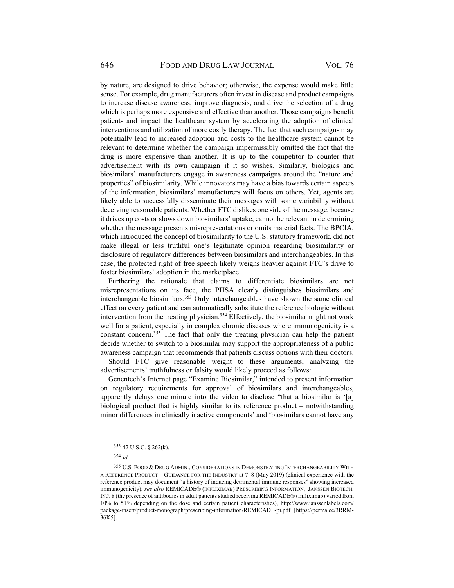by nature, are designed to drive behavior; otherwise, the expense would make little sense. For example, drug manufacturers often invest in disease and product campaigns to increase disease awareness, improve diagnosis, and drive the selection of a drug which is perhaps more expensive and effective than another. Those campaigns benefit patients and impact the healthcare system by accelerating the adoption of clinical interventions and utilization of more costly therapy. The fact that such campaigns may potentially lead to increased adoption and costs to the healthcare system cannot be relevant to determine whether the campaign impermissibly omitted the fact that the drug is more expensive than another. It is up to the competitor to counter that advertisement with its own campaign if it so wishes. Similarly, biologics and biosimilars' manufacturers engage in awareness campaigns around the "nature and properties" of biosimilarity. While innovators may have a bias towards certain aspects of the information, biosimilars' manufacturers will focus on others. Yet, agents are likely able to successfully disseminate their messages with some variability without deceiving reasonable patients. Whether FTC dislikes one side of the message, because it drives up costs or slows down biosimilars' uptake, cannot be relevant in determining whether the message presents misrepresentations or omits material facts. The BPCIA, which introduced the concept of biosimilarity to the U.S. statutory framework, did not make illegal or less truthful one's legitimate opinion regarding biosimilarity or disclosure of regulatory differences between biosimilars and interchangeables. In this case, the protected right of free speech likely weighs heavier against FTC's drive to foster biosimilars' adoption in the marketplace.

Furthering the rationale that claims to differentiate biosimilars are not misrepresentations on its face, the PHSA clearly distinguishes biosimilars and interchangeable biosimilars.<sup>353</sup> Only interchangeables have shown the same clinical effect on every patient and can automatically substitute the reference biologic without intervention from the treating physician.<sup>354</sup> Effectively, the biosimilar might not work well for a patient, especially in complex chronic diseases where immunogenicity is a constant concern.355 The fact that only the treating physician can help the patient decide whether to switch to a biosimilar may support the appropriateness of a public awareness campaign that recommends that patients discuss options with their doctors.

Should FTC give reasonable weight to these arguments, analyzing the advertisements' truthfulness or falsity would likely proceed as follows:

Genentech's Internet page "Examine Biosimilar," intended to present information on regulatory requirements for approval of biosimilars and interchangeables, apparently delays one minute into the video to disclose "that a biosimilar is '[a] biological product that is highly similar to its reference product – notwithstanding minor differences in clinically inactive components' and 'biosimilars cannot have any

<sup>353 42</sup> U.S.C. § 262(k).

<sup>354</sup> *Id.*

<sup>355</sup> U.S. FOOD & DRUG ADMIN., CONSIDERATIONS IN DEMONSTRATING INTERCHANGEABILITY WITH A REFERENCE PRODUCT—GUIDANCE FOR THE INDUSTRY at 7–8 (May 2019) (clinical experience with the reference product may document "a history of inducing detrimental immune responses" showing increased immunogenicity); *see also* REMICADE® (INFLIXIMAB) PRESCRIBING INFORMATION, JANSSEN BIOTECH, INC. 8 (the presence of antibodies in adult patients studied receiving REMICADE® (Infliximab) varied from 10% to 51% depending on the dose and certain patient characteristics), http://www.janssenlabels.com/ package-insert/product-monograph/prescribing-information/REMICADE-pi.pdf [https://perma.cc/3RRM-36K5].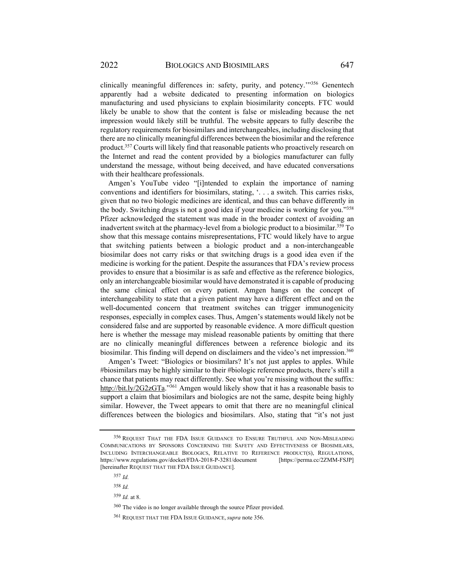clinically meaningful differences in: safety, purity, and potency.'"356 Genentech apparently had a website dedicated to presenting information on biologics manufacturing and used physicians to explain biosimilarity concepts. FTC would likely be unable to show that the content is false or misleading because the net impression would likely still be truthful. The website appears to fully describe the regulatory requirements for biosimilars and interchangeables, including disclosing that there are no clinically meaningful differences between the biosimilar and the reference product.357 Courts will likely find that reasonable patients who proactively research on the Internet and read the content provided by a biologics manufacturer can fully understand the message, without being deceived, and have educated conversations with their healthcare professionals.

Amgen's YouTube video "[i]ntended to explain the importance of naming conventions and identifiers for biosimilars, stating, '. . . a switch. This carries risks, given that no two biologic medicines are identical, and thus can behave differently in the body. Switching drugs is not a good idea if your medicine is working for you."358 Pfizer acknowledged the statement was made in the broader context of avoiding an inadvertent switch at the pharmacy-level from a biologic product to a biosimilar.359 To show that this message contains misrepresentations, FTC would likely have to argue that switching patients between a biologic product and a non-interchangeable biosimilar does not carry risks or that switching drugs is a good idea even if the medicine is working for the patient. Despite the assurances that FDA's review process provides to ensure that a biosimilar is as safe and effective as the reference biologics, only an interchangeable biosimilar would have demonstrated it is capable of producing the same clinical effect on every patient. Amgen hangs on the concept of interchangeability to state that a given patient may have a different effect and on the well-documented concern that treatment switches can trigger immunogenicity responses, especially in complex cases. Thus, Amgen's statements would likely not be considered false and are supported by reasonable evidence. A more difficult question here is whether the message may mislead reasonable patients by omitting that there are no clinically meaningful differences between a reference biologic and its biosimilar. This finding will depend on disclaimers and the video's net impression.360

Amgen's Tweet: "Biologics or biosimilars? It's not just apples to apples. While #biosimilars may be highly similar to their #biologic reference products, there's still a chance that patients may react differently. See what you're missing without the suffix: http://bit.ly/2G2zGTa."<sup>361</sup> Amgen would likely show that it has a reasonable basis to support a claim that biosimilars and biologics are not the same, despite being highly similar. However, the Tweet appears to omit that there are no meaningful clinical differences between the biologics and biosimilars. Also, stating that "it's not just

<sup>356</sup> REQUEST THAT THE FDA ISSUE GUIDANCE TO ENSURE TRUTHFUL AND NON-MISLEADING COMMUNICATIONS BY SPONSORS CONCERNING THE SAFETY AND EFFECTIVENESS OF BIOSIMILARS, INCLUDING INTERCHANGEABLE BIOLOGICS, RELATIVE TO REFERENCE PRODUCT(S), REGULATIONS, https://www.regulations.gov/docket/FDA-2018-P-3281/document [https://perma.cc/2ZMM-FSJP] [hereinafter REQUEST THAT THE FDA ISSUE GUIDANCE].

<sup>357</sup> *Id.*

<sup>358</sup> *Id.*

<sup>359</sup> *Id.* at 8.

<sup>360</sup> The video is no longer available through the source Pfizer provided.

<sup>361</sup> REQUEST THAT THE FDA ISSUE GUIDANCE, *supra* note 356.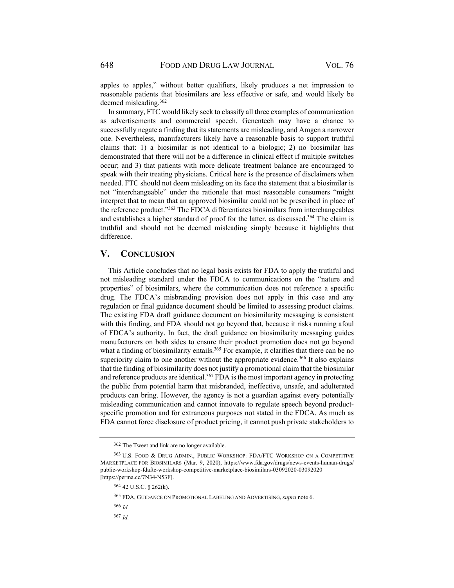apples to apples," without better qualifiers, likely produces a net impression to reasonable patients that biosimilars are less effective or safe, and would likely be deemed misleading.362

In summary, FTC would likely seek to classify all three examples of communication as advertisements and commercial speech. Genentech may have a chance to successfully negate a finding that its statements are misleading, and Amgen a narrower one. Nevertheless, manufacturers likely have a reasonable basis to support truthful claims that: 1) a biosimilar is not identical to a biologic; 2) no biosimilar has demonstrated that there will not be a difference in clinical effect if multiple switches occur; and 3) that patients with more delicate treatment balance are encouraged to speak with their treating physicians. Critical here is the presence of disclaimers when needed. FTC should not deem misleading on its face the statement that a biosimilar is not "interchangeable" under the rationale that most reasonable consumers "might interpret that to mean that an approved biosimilar could not be prescribed in place of the reference product."363 The FDCA differentiates biosimilars from interchangeables and establishes a higher standard of proof for the latter, as discussed.<sup>364</sup> The claim is truthful and should not be deemed misleading simply because it highlights that difference.

## **V. CONCLUSION**

This Article concludes that no legal basis exists for FDA to apply the truthful and not misleading standard under the FDCA to communications on the "nature and properties" of biosimilars, where the communication does not reference a specific drug. The FDCA's misbranding provision does not apply in this case and any regulation or final guidance document should be limited to assessing product claims. The existing FDA draft guidance document on biosimilarity messaging is consistent with this finding, and FDA should not go beyond that, because it risks running afoul of FDCA's authority. In fact, the draft guidance on biosimilarity messaging guides manufacturers on both sides to ensure their product promotion does not go beyond what a finding of biosimilarity entails.<sup>365</sup> For example, it clarifies that there can be no superiority claim to one another without the appropriate evidence.<sup>366</sup> It also explains that the finding of biosimilarity does not justify a promotional claim that the biosimilar and reference products are identical.<sup>367</sup> FDA is the most important agency in protecting the public from potential harm that misbranded, ineffective, unsafe, and adulterated products can bring. However, the agency is not a guardian against every potentially misleading communication and cannot innovate to regulate speech beyond productspecific promotion and for extraneous purposes not stated in the FDCA. As much as FDA cannot force disclosure of product pricing, it cannot push private stakeholders to

<sup>365</sup> FDA, GUIDANCE ON PROMOTIONAL LABELING AND ADVERTISING, *supra* note 6.

<sup>366</sup> *Id.*

<sup>367</sup> *Id.*

<sup>362</sup> The Tweet and link are no longer available.

<sup>363</sup> U.S. FOOD & DRUG ADMIN., PUBLIC WORKSHOP: FDA/FTC WORKSHOP ON A COMPETITIVE MARKETPLACE FOR BIOSIMILARS (Mar. 9, 2020), https://www.fda.gov/drugs/news-events-human-drugs/ public-workshop-fdaftc-workshop-competitive-marketplace-biosimilars-03092020-03092020 [https://perma.cc/7N34-N53F].

<sup>364 42</sup> U.S.C. § 262(k).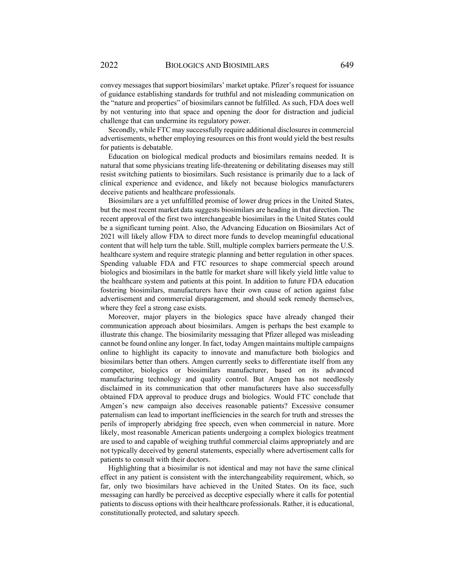convey messages that support biosimilars' market uptake. Pfizer's request for issuance of guidance establishing standards for truthful and not misleading communication on the "nature and properties" of biosimilars cannot be fulfilled. As such, FDA does well by not venturing into that space and opening the door for distraction and judicial challenge that can undermine its regulatory power.

Secondly, while FTC may successfully require additional disclosures in commercial advertisements, whether employing resources on this front would yield the best results for patients is debatable.

Education on biological medical products and biosimilars remains needed. It is natural that some physicians treating life-threatening or debilitating diseases may still resist switching patients to biosimilars. Such resistance is primarily due to a lack of clinical experience and evidence, and likely not because biologics manufacturers deceive patients and healthcare professionals.

Biosimilars are a yet unfulfilled promise of lower drug prices in the United States, but the most recent market data suggests biosimilars are heading in that direction. The recent approval of the first two interchangeable biosimilars in the United States could be a significant turning point. Also, the Advancing Education on Biosimilars Act of 2021 will likely allow FDA to direct more funds to develop meaningful educational content that will help turn the table. Still, multiple complex barriers permeate the U.S. healthcare system and require strategic planning and better regulation in other spaces. Spending valuable FDA and FTC resources to shape commercial speech around biologics and biosimilars in the battle for market share will likely yield little value to the healthcare system and patients at this point. In addition to future FDA education fostering biosimilars, manufacturers have their own cause of action against false advertisement and commercial disparagement, and should seek remedy themselves, where they feel a strong case exists.

Moreover, major players in the biologics space have already changed their communication approach about biosimilars. Amgen is perhaps the best example to illustrate this change. The biosimilarity messaging that Pfizer alleged was misleading cannot be found online any longer. In fact, today Amgen maintains multiple campaigns online to highlight its capacity to innovate and manufacture both biologics and biosimilars better than others. Amgen currently seeks to differentiate itself from any competitor, biologics or biosimilars manufacturer, based on its advanced manufacturing technology and quality control. But Amgen has not needlessly disclaimed in its communication that other manufacturers have also successfully obtained FDA approval to produce drugs and biologics. Would FTC conclude that Amgen's new campaign also deceives reasonable patients? Excessive consumer paternalism can lead to important inefficiencies in the search for truth and stresses the perils of improperly abridging free speech, even when commercial in nature. More likely, most reasonable American patients undergoing a complex biologics treatment are used to and capable of weighing truthful commercial claims appropriately and are not typically deceived by general statements, especially where advertisement calls for patients to consult with their doctors.

Highlighting that a biosimilar is not identical and may not have the same clinical effect in any patient is consistent with the interchangeability requirement, which, so far, only two biosimilars have achieved in the United States. On its face, such messaging can hardly be perceived as deceptive especially where it calls for potential patients to discuss options with their healthcare professionals. Rather, it is educational, constitutionally protected, and salutary speech.